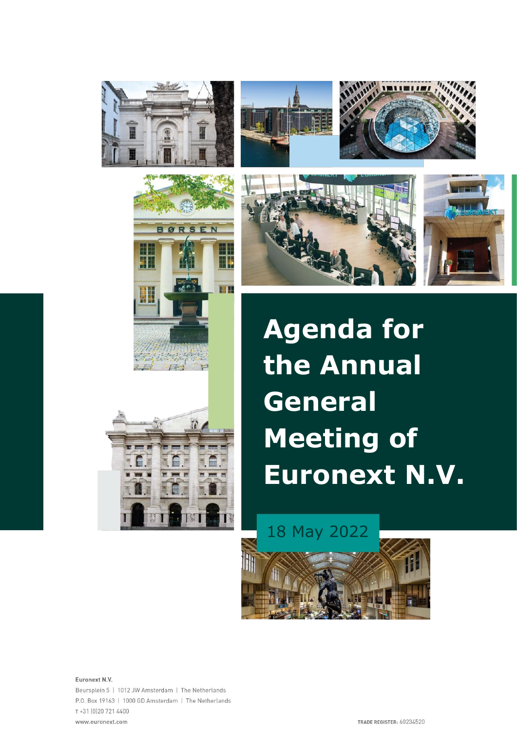

BØRSEN

H

**NH** 

H

**The Second Service** 









**Agenda for the Annual General Meeting of Euronext N.V.**



Euronext N.V. Beursplein 5 | 1012 JW Amsterdam | The Netherlands P.O. Box 19163 | 1000 GD Amsterdam | The Netherlands T+31 (0) 20 721 4400 www.euronext.com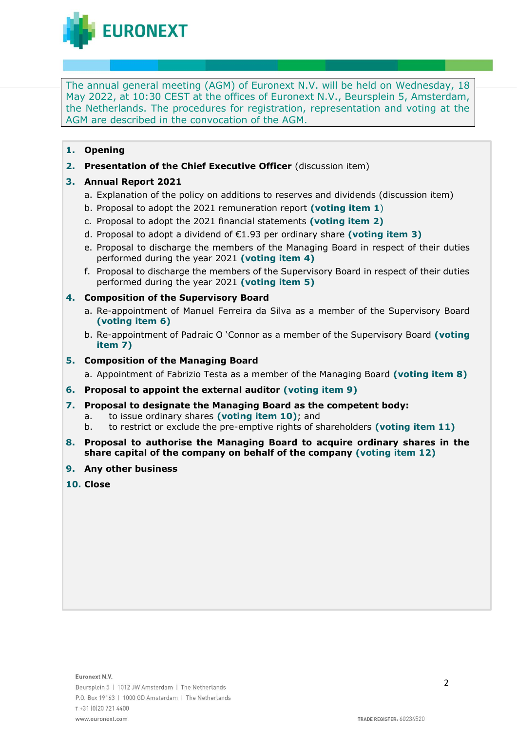**EURONEXT** 

The annual general meeting (AGM) of Euronext N.V. will be held on Wednesday, 18 May 2022, at 10:30 CEST at the offices of Euronext N.V., Beursplein 5, Amsterdam, the Netherlands. The procedures for registration, representation and voting at the AGM are described in the convocation of the AGM.

- **1. Opening**
- **2. Presentation of the Chief Executive Officer** (discussion item)

# **3. Annual Report 2021**

- a. Explanation of the policy on additions to reserves and dividends (discussion item)
- b. Proposal to adopt the 2021 remuneration report **(voting item 1**)
- c. Proposal to adopt the 2021 financial statements **(voting item 2)**
- d. Proposal to adopt a dividend of €1.93 per ordinary share **(voting item 3)**
- e. Proposal to discharge the members of the Managing Board in respect of their duties performed during the year 2021 **(voting item 4)**
- f. Proposal to discharge the members of the Supervisory Board in respect of their duties performed during the year 2021 **(voting item 5)**

# **4. Composition of the Supervisory Board**

- a. Re-appointment of Manuel Ferreira da Silva as a member of the Supervisory Board **(voting item 6)**
- b. Re-appointment of Padraic O 'Connor as a member of the Supervisory Board **(voting item 7)**

# **5. Composition of the Managing Board**

a. Appointment of Fabrizio Testa as a member of the Managing Board **(voting item 8)**

- **6. Proposal to appoint the external auditor (voting item 9)**
- **7. Proposal to designate the Managing Board as the competent body:**
	- a. to issue ordinary shares **(voting item 10)**; and
	- b. to restrict or exclude the pre-emptive rights of shareholders **(voting item 11)**
- **8. Proposal to authorise the Managing Board to acquire ordinary shares in the share capital of the company on behalf of the company (voting item 12)**
- **9. Any other business**
- **10. Close**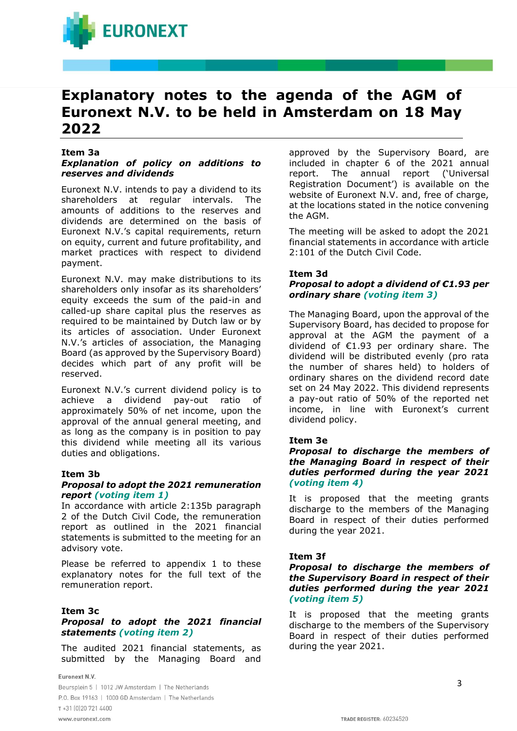

# **Explanatory notes to the agenda of the AGM of Euronext N.V. to be held in Amsterdam on 18 May 2022**

#### **Item 3a**

## *Explanation of policy on additions to reserves and dividends*

Euronext N.V. intends to pay a dividend to its shareholders at regular intervals. The amounts of additions to the reserves and dividends are determined on the basis of Euronext N.V.'s capital requirements, return on equity, current and future profitability, and market practices with respect to dividend payment.

Euronext N.V. may make distributions to its shareholders only insofar as its shareholders' equity exceeds the sum of the paid-in and called-up share capital plus the reserves as required to be maintained by Dutch law or by its articles of association. Under Euronext N.V.'s articles of association, the Managing Board (as approved by the Supervisory Board) decides which part of any profit will be reserved.

Euronext N.V.'s current dividend policy is to achieve a dividend pay-out ratio of approximately 50% of net income, upon the approval of the annual general meeting, and as long as the company is in position to pay this dividend while meeting all its various duties and obligations.

#### **Item 3b**

### *Proposal to adopt the 2021 remuneration report (voting item 1)*

In accordance with article 2:135b paragraph 2 of the Dutch Civil Code, the remuneration report as outlined in the 2021 financial statements is submitted to the meeting for an advisory vote.

Please be referred to appendix 1 to these explanatory notes for the full text of the remuneration report.

#### **Item 3c**

# *Proposal to adopt the 2021 financial statements (voting item 2)*

The audited 2021 financial statements, as submitted by the Managing Board and

Euronext N.V.

Beursplein 5 | 1012 JW Amsterdam | The Netherlands P.O. Box 19163 | 1000 GD Amsterdam | The Netherlands T+31 (0)20 721 4400 www.euronext.com

approved by the Supervisory Board, are included in chapter 6 of the 2021 annual report. The annual report ('Universal Registration Document') is available on the website of Euronext N.V. and, free of charge, at the locations stated in the notice convening the AGM.

The meeting will be asked to adopt the 2021 financial statements in accordance with article 2:101 of the Dutch Civil Code.

# **Item 3d**

# *Proposal to adopt a dividend of €1.93 per ordinary share (voting item 3)*

The Managing Board, upon the approval of the Supervisory Board, has decided to propose for approval at the AGM the payment of a dividend of €1.93 per ordinary share. The dividend will be distributed evenly (pro rata the number of shares held) to holders of ordinary shares on the dividend record date set on 24 May 2022. This dividend represents a pay-out ratio of 50% of the reported net income, in line with Euronext's current dividend policy.

#### **Item 3e**

# *Proposal to discharge the members of the Managing Board in respect of their duties performed during the year 2021 (voting item 4)*

It is proposed that the meeting grants discharge to the members of the Managing Board in respect of their duties performed during the year 2021.

# **Item 3f**

# *Proposal to discharge the members of the Supervisory Board in respect of their duties performed during the year 2021 (voting item 5)*

It is proposed that the meeting grants discharge to the members of the Supervisory Board in respect of their duties performed during the year 2021.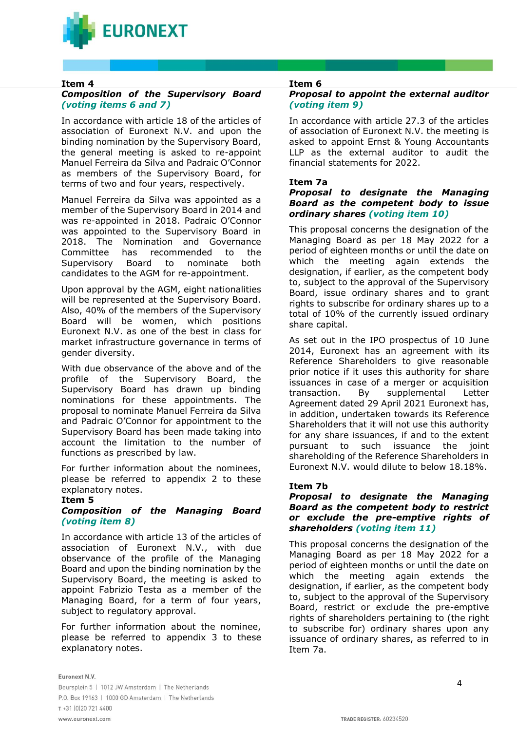

## **Item 4**

# *Composition of the Supervisory Board (voting items 6 and 7)*

In accordance with article 18 of the articles of association of Euronext N.V. and upon the binding nomination by the Supervisory Board, the general meeting is asked to re-appoint Manuel Ferreira da Silva and Padraic O'Connor as members of the Supervisory Board, for terms of two and four years, respectively.

Manuel Ferreira da Silva was appointed as a member of the Supervisory Board in 2014 and was re-appointed in 2018. Padraic O'Connor was appointed to the Supervisory Board in 2018. The Nomination and Governance Committee has recommended to the Supervisory Board to nominate both candidates to the AGM for re-appointment.

Upon approval by the AGM, eight nationalities will be represented at the Supervisory Board. Also, 40% of the members of the Supervisory Board will be women, which positions Euronext N.V. as one of the best in class for market infrastructure governance in terms of gender diversity.

With due observance of the above and of the profile of the Supervisory Board, the Supervisory Board has drawn up binding nominations for these appointments. The proposal to nominate Manuel Ferreira da Silva and Padraic O'Connor for appointment to the Supervisory Board has been made taking into account the limitation to the number of functions as prescribed by law.

For further information about the nominees, please be referred to appendix 2 to these explanatory notes.

#### **Item 5**

# *Composition of the Managing Board (voting item 8)*

In accordance with article 13 of the articles of association of Euronext N.V., with due observance of the profile of the Managing Board and upon the binding nomination by the Supervisory Board, the meeting is asked to appoint Fabrizio Testa as a member of the Managing Board, for a term of four years, subject to regulatory approval.

For further information about the nominee, please be referred to appendix 3 to these explanatory notes.

# **Item 6**

# *Proposal to appoint the external auditor (voting item 9)*

In accordance with article 27.3 of the articles of association of Euronext N.V. the meeting is asked to appoint Ernst & Young Accountants LLP as the external auditor to audit the financial statements for 2022.

# **Item 7a**

# *Proposal to designate the Managing Board as the competent body to issue ordinary shares (voting item 10)*

This proposal concerns the designation of the Managing Board as per 18 May 2022 for a period of eighteen months or until the date on which the meeting again extends the designation, if earlier, as the competent body to, subject to the approval of the Supervisory Board, issue ordinary shares and to grant rights to subscribe for ordinary shares up to a total of 10% of the currently issued ordinary share capital.

As set out in the IPO prospectus of 10 June 2014, Euronext has an agreement with its Reference Shareholders to give reasonable prior notice if it uses this authority for share issuances in case of a merger or acquisition transaction. By supplemental Letter Agreement dated 29 April 2021 Euronext has, in addition, undertaken towards its Reference Shareholders that it will not use this authority for any share issuances, if and to the extent pursuant to such issuance the joint shareholding of the Reference Shareholders in Euronext N.V. would dilute to below 18.18%.

# **Item 7b**

## *Proposal to designate the Managing Board as the competent body to restrict or exclude the pre-emptive rights of shareholders (voting item 11)*

This proposal concerns the designation of the Managing Board as per 18 May 2022 for a period of eighteen months or until the date on which the meeting again extends the designation, if earlier, as the competent body to, subject to the approval of the Supervisory Board, restrict or exclude the pre-emptive rights of shareholders pertaining to (the right to subscribe for) ordinary shares upon any issuance of ordinary shares, as referred to in Item 7a.

#### Euronext N.V.

Beursplein 5 | 1012 JW Amsterdam | The Netherlands P.O. Box 19163 | 1000 GD Amsterdam | The Netherlands T+31 (0)20 721 4400 www.euronext.com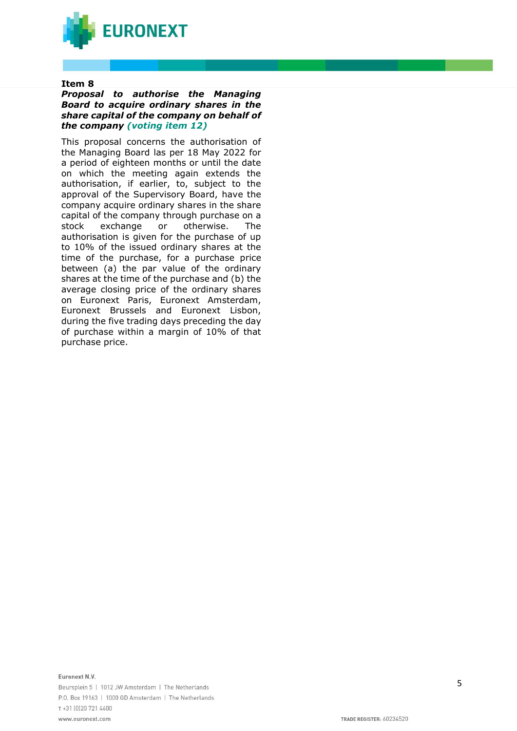

### **Item 8**

### *Proposal to authorise the Managing Board to acquire ordinary shares in the share capital of the company on behalf of the company (voting item 12)*

This proposal concerns the authorisation of the Managing Board las per 18 May 2022 for a period of eighteen months or until the date on which the meeting again extends the authorisation, if earlier, to, subject to the approval of the Supervisory Board, have the company acquire ordinary shares in the share capital of the company through purchase on a stock exchange or otherwise. The authorisation is given for the purchase of up to 10% of the issued ordinary shares at the time of the purchase, for a purchase price between (a) the par value of the ordinary shares at the time of the purchase and (b) the average closing price of the ordinary shares on Euronext Paris, Euronext Amsterdam, Euronext Brussels and Euronext Lisbon, during the five trading days preceding the day of purchase within a margin of 10% of that purchase price.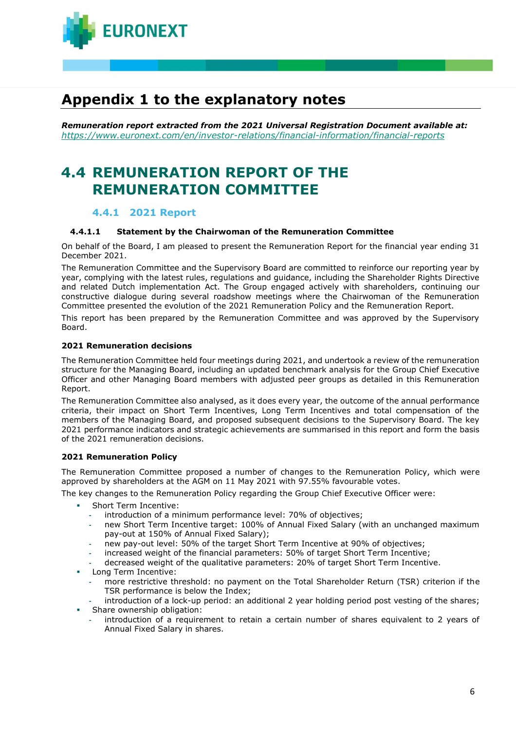

# **Appendix 1 to the explanatory notes**

*Remuneration report extracted from the 2021 Universal Registration Document available at: <https://www.euronext.com/en/investor-relations/financial-information/financial-reports>*

# **4.4 REMUNERATION REPORT OF THE REMUNERATION COMMITTEE**

# **4.4.1 2021 Report**

### **4.4.1.1 Statement by the Chairwoman of the Remuneration Committee**

On behalf of the Board, I am pleased to present the Remuneration Report for the financial year ending 31 December 2021.

The Remuneration Committee and the Supervisory Board are committed to reinforce our reporting year by year, complying with the latest rules, regulations and guidance, including the Shareholder Rights Directive and related Dutch implementation Act. The Group engaged actively with shareholders, continuing our constructive dialogue during several roadshow meetings where the Chairwoman of the Remuneration Committee presented the evolution of the 2021 Remuneration Policy and the Remuneration Report.

This report has been prepared by the Remuneration Committee and was approved by the Supervisory Board.

#### **2021 Remuneration decisions**

The Remuneration Committee held four meetings during 2021, and undertook a review of the remuneration structure for the Managing Board, including an updated benchmark analysis for the Group Chief Executive Officer and other Managing Board members with adjusted peer groups as detailed in this Remuneration Report.

The Remuneration Committee also analysed, as it does every year, the outcome of the annual performance criteria, their impact on Short Term Incentives, Long Term Incentives and total compensation of the members of the Managing Board, and proposed subsequent decisions to the Supervisory Board. The key 2021 performance indicators and strategic achievements are summarised in this report and form the basis of the 2021 remuneration decisions.

# **2021 Remuneration Policy**

The Remuneration Committee proposed a number of changes to the Remuneration Policy, which were approved by shareholders at the AGM on 11 May 2021 with 97.55% favourable votes.

The key changes to the Remuneration Policy regarding the Group Chief Executive Officer were:

- Short Term Incentive:
	- **-** introduction of a minimum performance level: 70% of objectives;
	- **-** new Short Term Incentive target: 100% of Annual Fixed Salary (with an unchanged maximum pay-out at 150% of Annual Fixed Salary);
	- **-** new pay-out level: 50% of the target Short Term Incentive at 90% of objectives;
	- **-** increased weight of the financial parameters: 50% of target Short Term Incentive;
	- **-** decreased weight of the qualitative parameters: 20% of target Short Term Incentive.
- **Long Term Incentive:** 
	- **-** more restrictive threshold: no payment on the Total Shareholder Return (TSR) criterion if the TSR performance is below the Index;
	- **-** introduction of a lock-up period: an additional 2 year holding period post vesting of the shares; Share ownership obligation:
	- **-** introduction of a requirement to retain a certain number of shares equivalent to 2 years of Annual Fixed Salary in shares.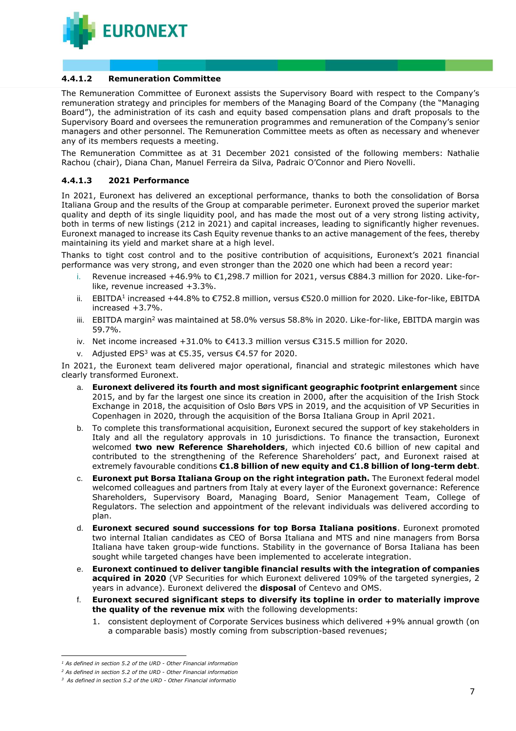

## **4.4.1.2 Remuneration Committee**

The Remuneration Committee of Euronext assists the Supervisory Board with respect to the Company's remuneration strategy and principles for members of the Managing Board of the Company (the "Managing Board"), the administration of its cash and equity based compensation plans and draft proposals to the Supervisory Board and oversees the remuneration programmes and remuneration of the Company's senior managers and other personnel. The Remuneration Committee meets as often as necessary and whenever any of its members requests a meeting.

The Remuneration Committee as at 31 December 2021 consisted of the following members: Nathalie Rachou (chair), Diana Chan, Manuel Ferreira da Silva, Padraic O'Connor and Piero Novelli.

## **4.4.1.3 2021 Performance**

In 2021, Euronext has delivered an exceptional performance, thanks to both the consolidation of Borsa Italiana Group and the results of the Group at comparable perimeter. Euronext proved the superior market quality and depth of its single liquidity pool, and has made the most out of a very strong listing activity, both in terms of new listings (212 in 2021) and capital increases, leading to significantly higher revenues. Euronext managed to increase its Cash Equity revenue thanks to an active management of the fees, thereby maintaining its yield and market share at a high level.

Thanks to tight cost control and to the positive contribution of acquisitions, Euronext's 2021 financial performance was very strong, and even stronger than the 2020 one which had been a record year:

- i. Revenue increased +46.9% to €1,298.7 million for 2021, versus €884.3 million for 2020. Like-forlike, revenue increased +3.3%.
- ii.  $EBITDA<sup>1</sup>$  increased +44.8% to €752.8 million, versus €520.0 million for 2020. Like-for-like, EBITDA increased +3.7%.
- iii. EBITDA margin<sup>2</sup> was maintained at 58.0% versus 58.8% in 2020. Like-for-like, EBITDA margin was 59.7%.
- iv. Net income increased +31.0% to €413.3 million versus €315.5 million for 2020.
- v. Adjusted EPS<sup>3</sup> was at €5.35, versus €4.57 for 2020.

In 2021, the Euronext team delivered major operational, financial and strategic milestones which have clearly transformed Euronext.

- a. **Euronext delivered its fourth and most significant geographic footprint enlargement** since 2015, and by far the largest one since its creation in 2000, after the acquisition of the Irish Stock Exchange in 2018, the acquisition of Oslo Børs VPS in 2019, and the acquisition of VP Securities in Copenhagen in 2020, through the acquisition of the Borsa Italiana Group in April 2021.
- b. To complete this transformational acquisition, Euronext secured the support of key stakeholders in Italy and all the regulatory approvals in 10 jurisdictions. To finance the transaction, Euronext welcomed **two new Reference Shareholders**, which injected €0.6 billion of new capital and contributed to the strengthening of the Reference Shareholders' pact, and Euronext raised at extremely favourable conditions **€1.8 billion of new equity and €1.8 billion of long-term debt**.
- c. **Euronext put Borsa Italiana Group on the right integration path.** The Euronext federal model welcomed colleagues and partners from Italy at every layer of the Euronext governance: Reference Shareholders, Supervisory Board, Managing Board, Senior Management Team, College of Regulators. The selection and appointment of the relevant individuals was delivered according to plan.
- d. **Euronext secured sound successions for top Borsa Italiana positions**. Euronext promoted two internal Italian candidates as CEO of Borsa Italiana and MTS and nine managers from Borsa Italiana have taken group-wide functions. Stability in the governance of Borsa Italiana has been sought while targeted changes have been implemented to accelerate integration.
- e. **Euronext continued to deliver tangible financial results with the integration of companies acquired in 2020** (VP Securities for which Euronext delivered 109% of the targeted synergies, 2 years in advance). Euronext delivered the **disposal** of Centevo and OMS.
- f. **Euronext secured significant steps to diversify its topline in order to materially improve the quality of the revenue mix** with the following developments:
	- 1. consistent deployment of Corporate Services business which delivered +9% annual growth (on a comparable basis) mostly coming from subscription-based revenues;

*<sup>1</sup> As defined in section 5.2 of the URD - Other Financial information*

*<sup>2</sup> As defined in section 5.2 of the URD - Other Financial information*

*<sup>3</sup> As defined in section 5.2 of the URD - Other Financial informatio*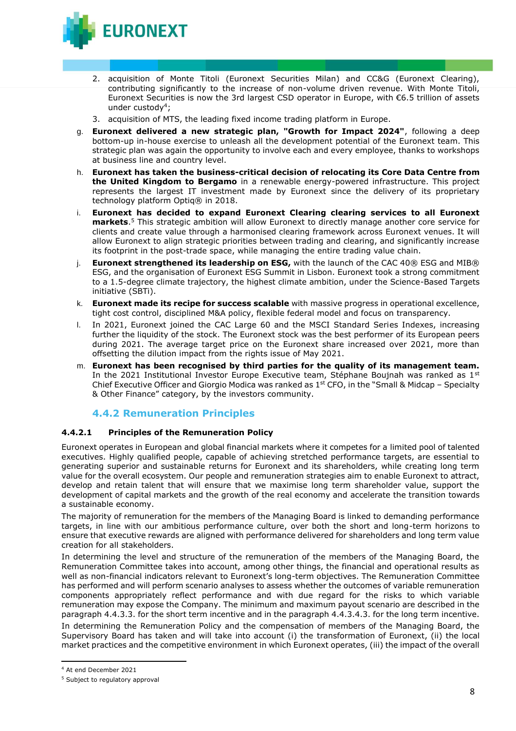

- 2. acquisition of Monte Titoli (Euronext Securities Milan) and CC&G (Euronext Clearing), contributing significantly to the increase of non-volume driven revenue. With Monte Titoli, Euronext Securities is now the 3rd largest CSD operator in Europe, with €6.5 trillion of assets under custody<sup>4</sup>;
- 3. acquisition of MTS, the leading fixed income trading platform in Europe.
- g. **Euronext delivered a new strategic plan, "Growth for Impact 2024"**, following a deep bottom-up in-house exercise to unleash all the development potential of the Euronext team. This strategic plan was again the opportunity to involve each and every employee, thanks to workshops at business line and country level.
- h. **Euronext has taken the business-critical decision of relocating its Core Data Centre from the United Kingdom to Bergamo** in a renewable energy-powered infrastructure. This project represents the largest IT investment made by Euronext since the delivery of its proprietary technology platform Optiq® in 2018.
- i. **Euronext has decided to expand Euronext Clearing clearing services to all Euronext markets**. <sup>5</sup> This strategic ambition will allow Euronext to directly manage another core service for clients and create value through a harmonised clearing framework across Euronext venues. It will allow Euronext to align strategic priorities between trading and clearing, and significantly increase its footprint in the post-trade space, while managing the entire trading value chain.
- i. **Euronext strengthened its leadership on ESG,** with the launch of the CAC 40® ESG and MIB® ESG, and the organisation of Euronext ESG Summit in Lisbon. Euronext took a strong commitment to a 1.5-degree climate trajectory, the highest climate ambition, under the Science-Based Targets initiative (SBTi).
- k. **Euronext made its recipe for success scalable** with massive progress in operational excellence, tight cost control, disciplined M&A policy, flexible federal model and focus on transparency.
- l. In 2021, Euronext joined the CAC Large 60 and the MSCI Standard Series Indexes, increasing further the liquidity of the stock. The Euronext stock was the best performer of its European peers during 2021. The average target price on the Euronext share increased over 2021, more than offsetting the dilution impact from the rights issue of May 2021.
- m. **Euronext has been recognised by third parties for the quality of its management team.** In the 2021 Institutional Investor Europe Executive team, Stéphane Boujnah was ranked as  $1^{st}$ Chief Executive Officer and Giorgio Modica was ranked as  $1<sup>st</sup>$  CFO, in the "Small & Midcap – Specialty & Other Finance" category, by the investors community.

# **4.4.2 Remuneration Principles**

# **4.4.2.1 Principles of the Remuneration Policy**

Euronext operates in European and global financial markets where it competes for a limited pool of talented executives. Highly qualified people, capable of achieving stretched performance targets, are essential to generating superior and sustainable returns for Euronext and its shareholders, while creating long term value for the overall ecosystem. Our people and remuneration strategies aim to enable Euronext to attract, develop and retain talent that will ensure that we maximise long term shareholder value, support the development of capital markets and the growth of the real economy and accelerate the transition towards a sustainable economy.

The majority of remuneration for the members of the Managing Board is linked to demanding performance targets, in line with our ambitious performance culture, over both the short and long-term horizons to ensure that executive rewards are aligned with performance delivered for shareholders and long term value creation for all stakeholders.

In determining the level and structure of the remuneration of the members of the Managing Board, the Remuneration Committee takes into account, among other things, the financial and operational results as well as non-financial indicators relevant to Euronext's long-term objectives. The Remuneration Committee has performed and will perform scenario analyses to assess whether the outcomes of variable remuneration components appropriately reflect performance and with due regard for the risks to which variable remuneration may expose the Company. The minimum and maximum payout scenario are described in the paragraph 4.4.3.3. for the short term incentive and in the paragraph 4.4.3.4.3. for the long term incentive.

In determining the Remuneration Policy and the compensation of members of the Managing Board, the Supervisory Board has taken and will take into account (i) the transformation of Euronext, (ii) the local market practices and the competitive environment in which Euronext operates, (iii) the impact of the overall

<sup>4</sup> At end December 2021

<sup>&</sup>lt;sup>5</sup> Subject to regulatory approval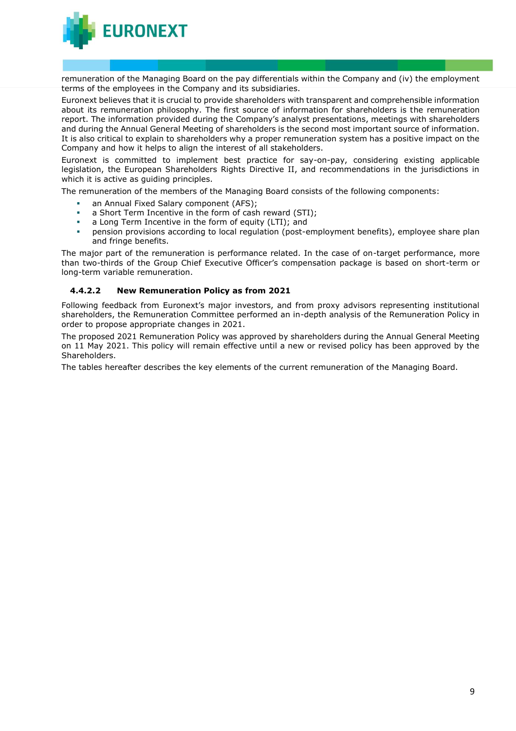**URONEXT** 

remuneration of the Managing Board on the pay differentials within the Company and (iv) the employment terms of the employees in the Company and its subsidiaries.

Euronext believes that it is crucial to provide shareholders with transparent and comprehensible information about its remuneration philosophy. The first source of information for shareholders is the remuneration report. The information provided during the Company's analyst presentations, meetings with shareholders and during the Annual General Meeting of shareholders is the second most important source of information. It is also critical to explain to shareholders why a proper remuneration system has a positive impact on the Company and how it helps to align the interest of all stakeholders.

Euronext is committed to implement best practice for say-on-pay, considering existing applicable legislation, the European Shareholders Rights Directive II, and recommendations in the jurisdictions in which it is active as quiding principles.

The remuneration of the members of the Managing Board consists of the following components:

- an Annual Fixed Salary component (AFS);
- a Short Term Incentive in the form of cash reward (STI);
- a Long Term Incentive in the form of equity (LTI); and
- pension provisions according to local regulation (post-employment benefits), employee share plan and fringe benefits.

The major part of the remuneration is performance related. In the case of on-target performance, more than two-thirds of the Group Chief Executive Officer's compensation package is based on short-term or long-term variable remuneration.

#### **4.4.2.2 New Remuneration Policy as from 2021**

Following feedback from Euronext's major investors, and from proxy advisors representing institutional shareholders, the Remuneration Committee performed an in-depth analysis of the Remuneration Policy in order to propose appropriate changes in 2021.

The proposed 2021 Remuneration Policy was approved by shareholders during the Annual General Meeting on 11 May 2021. This policy will remain effective until a new or revised policy has been approved by the Shareholders.

The tables hereafter describes the key elements of the current remuneration of the Managing Board.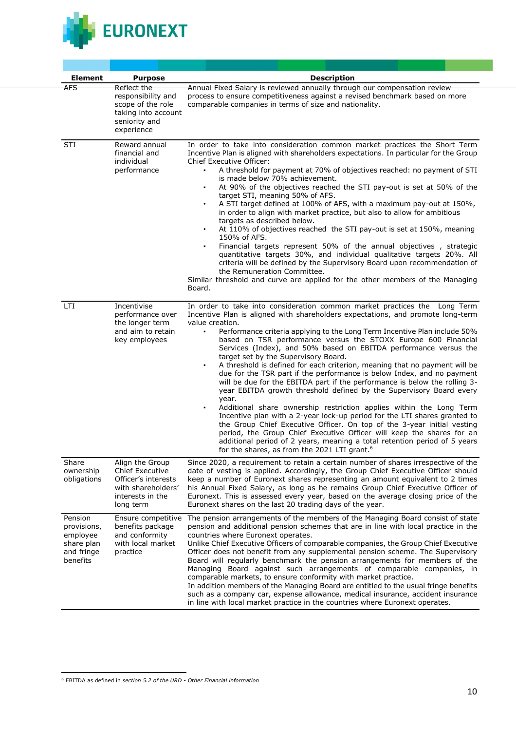

| <b>Element</b>                                                             | <b>Purpose</b>                                                                                                   | <b>Description</b>                                                                                                                                                                                                                                                                                                                                                                                                                                                                                                                                                                                                                                                                                                                                                                                                                                                                                                                                                                                                                                                                                                                                                                                                               |  |
|----------------------------------------------------------------------------|------------------------------------------------------------------------------------------------------------------|----------------------------------------------------------------------------------------------------------------------------------------------------------------------------------------------------------------------------------------------------------------------------------------------------------------------------------------------------------------------------------------------------------------------------------------------------------------------------------------------------------------------------------------------------------------------------------------------------------------------------------------------------------------------------------------------------------------------------------------------------------------------------------------------------------------------------------------------------------------------------------------------------------------------------------------------------------------------------------------------------------------------------------------------------------------------------------------------------------------------------------------------------------------------------------------------------------------------------------|--|
| AFS                                                                        | Reflect the<br>responsibility and<br>scope of the role<br>taking into account<br>seniority and<br>experience     | Annual Fixed Salary is reviewed annually through our compensation review<br>process to ensure competitiveness against a revised benchmark based on more<br>comparable companies in terms of size and nationality.                                                                                                                                                                                                                                                                                                                                                                                                                                                                                                                                                                                                                                                                                                                                                                                                                                                                                                                                                                                                                |  |
| STI                                                                        | Reward annual<br>financial and<br>individual<br>performance                                                      | In order to take into consideration common market practices the Short Term<br>Incentive Plan is aligned with shareholders expectations. In particular for the Group<br>Chief Executive Officer:<br>A threshold for payment at 70% of objectives reached: no payment of STI<br>is made below 70% achievement.<br>At 90% of the objectives reached the STI pay-out is set at 50% of the<br>٠<br>target STI, meaning 50% of AFS.<br>A STI target defined at 100% of AFS, with a maximum pay-out at 150%,<br>$\bullet$<br>in order to align with market practice, but also to allow for ambitious<br>targets as described below.<br>At 110% of objectives reached the STI pay-out is set at 150%, meaning<br>$\bullet$<br>150% of AFS.<br>Financial targets represent 50% of the annual objectives, strategic<br>٠<br>quantitative targets 30%, and individual qualitative targets 20%. All<br>criteria will be defined by the Supervisory Board upon recommendation of<br>the Remuneration Committee.<br>Similar threshold and curve are applied for the other members of the Managing<br>Board.                                                                                                                                    |  |
| LTI                                                                        | Incentivise<br>performance over<br>the longer term<br>and aim to retain<br>key employees                         | In order to take into consideration common market practices the Long Term<br>Incentive Plan is aligned with shareholders expectations, and promote long-term<br>value creation.<br>Performance criteria applying to the Long Term Incentive Plan include 50%<br>٠<br>based on TSR performance versus the STOXX Europe 600 Financial<br>Services (Index), and 50% based on EBITDA performance versus the<br>target set by the Supervisory Board.<br>A threshold is defined for each criterion, meaning that no payment will be<br>٠<br>due for the TSR part if the performance is below Index, and no payment<br>will be due for the EBITDA part if the performance is below the rolling 3-<br>year EBITDA growth threshold defined by the Supervisory Board every<br>year.<br>Additional share ownership restriction applies within the Long Term<br>٠<br>Incentive plan with a 2-year lock-up period for the LTI shares granted to<br>the Group Chief Executive Officer. On top of the 3-year initial vesting<br>period, the Group Chief Executive Officer will keep the shares for an<br>additional period of 2 years, meaning a total retention period of 5 years<br>for the shares, as from the 2021 LTI grant. <sup>6</sup> |  |
| Share<br>ownership<br>obligations                                          | Align the Group<br>Chief Executive<br>Officer's interests<br>with shareholders'<br>interests in the<br>long term | Since 2020, a requirement to retain a certain number of shares irrespective of the<br>date of vesting is applied. Accordingly, the Group Chief Executive Officer should<br>keep a number of Euronext shares representing an amount equivalent to 2 times<br>his Annual Fixed Salary, as long as he remains Group Chief Executive Officer of<br>Euronext. This is assessed every year, based on the average closing price of the<br>Euronext shares on the last 20 trading days of the year.                                                                                                                                                                                                                                                                                                                                                                                                                                                                                                                                                                                                                                                                                                                                      |  |
| Pension<br>provisions,<br>employee<br>share plan<br>and fringe<br>benefits | Ensure competitive<br>benefits package<br>and conformity<br>with local market<br>practice                        | The pension arrangements of the members of the Managing Board consist of state<br>pension and additional pension schemes that are in line with local practice in the<br>countries where Euronext operates.<br>Unlike Chief Executive Officers of comparable companies, the Group Chief Executive<br>Officer does not benefit from any supplemental pension scheme. The Supervisory<br>Board will regularly benchmark the pension arrangements for members of the<br>Managing Board against such arrangements of comparable companies, in<br>comparable markets, to ensure conformity with market practice.<br>In addition members of the Managing Board are entitled to the usual fringe benefits<br>such as a company car, expense allowance, medical insurance, accident insurance<br>in line with local market practice in the countries where Euronext operates.                                                                                                                                                                                                                                                                                                                                                             |  |

<sup>6</sup> EBITDA as defined in *section 5.2 of the URD - Other Financial information*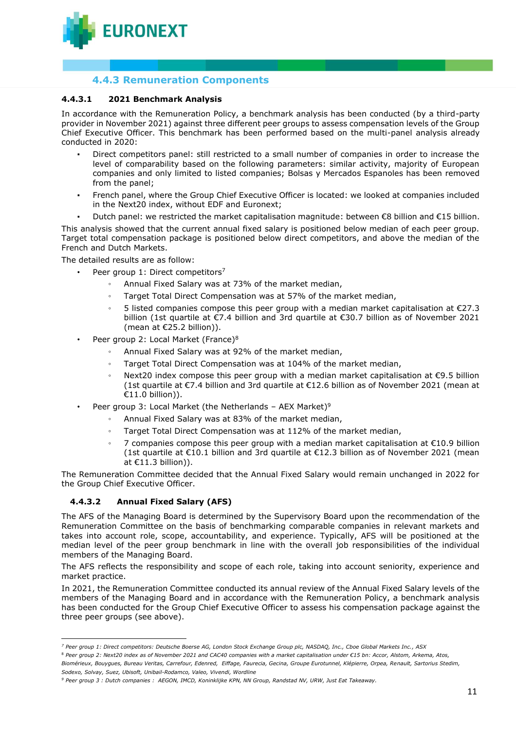

# **4.4.3 Remuneration Components**

## **4.4.3.1 2021 Benchmark Analysis**

In accordance with the Remuneration Policy, a benchmark analysis has been conducted (by a third-party provider in November 2021) against three different peer groups to assess compensation levels of the Group Chief Executive Officer. This benchmark has been performed based on the multi-panel analysis already conducted in 2020:

- Direct competitors panel: still restricted to a small number of companies in order to increase the level of comparability based on the following parameters: similar activity, majority of European companies and only limited to listed companies; Bolsas y Mercados Espanoles has been removed from the panel;
- French panel, where the Group Chief Executive Officer is located: we looked at companies included in the Next20 index, without EDF and Euronext;
- Dutch panel: we restricted the market capitalisation magnitude: between €8 billion and €15 billion.

This analysis showed that the current annual fixed salary is positioned below median of each peer group. Target total compensation package is positioned below direct competitors, and above the median of the French and Dutch Markets.

The detailed results are as follow:

- Peer group 1: Direct competitors<sup>7</sup>
	- Annual Fixed Salary was at 73% of the market median,
	- Target Total Direct Compensation was at 57% of the market median,
	- 5 listed companies compose this peer group with a median market capitalisation at  $E$ 27.3 billion (1st quartile at €7.4 billion and 3rd quartile at €30.7 billion as of November 2021 (mean at €25.2 billion)).
- Peer group 2: Local Market (France)<sup>8</sup>
	- Annual Fixed Salary was at 92% of the market median,
	- Target Total Direct Compensation was at 104% of the market median,
	- Next20 index compose this peer group with a median market capitalisation at €9.5 billion (1st quartile at €7.4 billion and 3rd quartile at €12.6 billion as of November 2021 (mean at €11.0 billion)).
- Peer group 3: Local Market (the Netherlands AEX Market)<sup>9</sup>
	- Annual Fixed Salary was at 83% of the market median,
	- Target Total Direct Compensation was at 112% of the market median,
	- 7 companies compose this peer group with a median market capitalisation at  $€10.9$  billion (1st quartile at €10.1 billion and 3rd quartile at €12.3 billion as of November 2021 (mean at  $E11.3$  billion)).

The Remuneration Committee decided that the Annual Fixed Salary would remain unchanged in 2022 for the Group Chief Executive Officer.

# **4.4.3.2 Annual Fixed Salary (AFS)**

The AFS of the Managing Board is determined by the Supervisory Board upon the recommendation of the Remuneration Committee on the basis of benchmarking comparable companies in relevant markets and takes into account role, scope, accountability, and experience. Typically, AFS will be positioned at the median level of the peer group benchmark in line with the overall job responsibilities of the individual members of the Managing Board.

The AFS reflects the responsibility and scope of each role, taking into account seniority, experience and market practice.

In 2021, the Remuneration Committee conducted its annual review of the Annual Fixed Salary levels of the members of the Managing Board and in accordance with the Remuneration Policy, a benchmark analysis has been conducted for the Group Chief Executive Officer to assess his compensation package against the three peer groups (see above).

*Biomérieux, Bouygues, Bureau Veritas, Carrefour, Edenred, Eiffage, Faurecia, Gecina, Groupe Eurotunnel, Klépierre, Orpea, Renault, Sartorius Stedim, Sodexo, Solvay, Suez, Ubisoft, Unibail-Rodamco, Valeo, Vivendi, Wordline*

*<sup>7</sup> Peer group 1: Direct competitors: Deutsche Boerse AG, London Stock Exchange Group plc, NASDAQ, Inc., Cboe Global Markets Inc., ASX*

<sup>&</sup>lt;sup>8</sup> Peer group 2: Next20 index as of November 2021 and CAC40 companies with a market capitalisation under €15 bn: Accor, Alstom, Arkema, Atos,

*<sup>9</sup> Peer group 3 : Dutch companies : AEGON, IMCD, Koninklijke KPN, NN Group, Randstad NV, URW, Just Eat Takeaway.*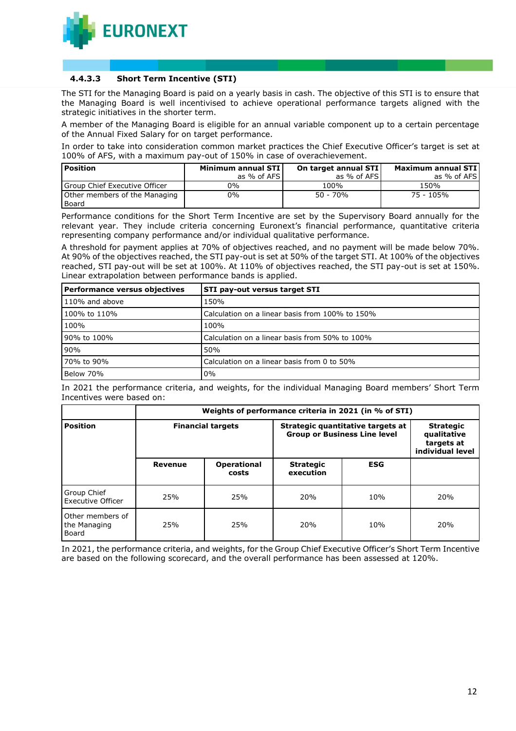

## **4.4.3.3 Short Term Incentive (STI)**

The STI for the Managing Board is paid on a yearly basis in cash. The objective of this STI is to ensure that the Managing Board is well incentivised to achieve operational performance targets aligned with the strategic initiatives in the shorter term.

A member of the Managing Board is eligible for an annual variable component up to a certain percentage of the Annual Fixed Salary for on target performance.

In order to take into consideration common market practices the Chief Executive Officer's target is set at 100% of AFS, with a maximum pay-out of 150% in case of overachievement.

| <b>Position</b>                        | Minimum annual STI | On target annual STI | Maximum annual STI |
|----------------------------------------|--------------------|----------------------|--------------------|
|                                        | as % of AFS        | as % of AFS          | as % of AFS        |
| Group Chief Executive Officer          | 0%                 | 100%                 | 150%               |
| Other members of the Managing<br>Board | 0%                 | $50 - 70%$           | 75 - 105%          |

Performance conditions for the Short Term Incentive are set by the Supervisory Board annually for the relevant year. They include criteria concerning Euronext's financial performance, quantitative criteria representing company performance and/or individual qualitative performance.

A threshold for payment applies at 70% of objectives reached, and no payment will be made below 70%. At 90% of the objectives reached, the STI pay-out is set at 50% of the target STI. At 100% of the objectives reached, STI pay-out will be set at 100%. At 110% of objectives reached, the STI pay-out is set at 150%. Linear extrapolation between performance bands is applied.

| Performance versus objectives | STI pay-out versus target STI                   |
|-------------------------------|-------------------------------------------------|
| 110% and above                | 150%                                            |
| 100% to 110%                  | Calculation on a linear basis from 100% to 150% |
| 100%                          | 100%                                            |
| 90% to 100%                   | Calculation on a linear basis from 50% to 100%  |
| 90%                           | 50%                                             |
| 70% to 90%                    | Calculation on a linear basis from 0 to 50%     |
| Below 70%                     | $0\%$                                           |

In 2021 the performance criteria, and weights, for the individual Managing Board members' Short Term Incentives were based on:

|                                           | Weights of performance criteria in 2021 (in % of STI) |                             |                                                                          |            |                                                                   |
|-------------------------------------------|-------------------------------------------------------|-----------------------------|--------------------------------------------------------------------------|------------|-------------------------------------------------------------------|
| <b>Position</b>                           |                                                       | <b>Financial targets</b>    | Strategic quantitative targets at<br><b>Group or Business Line level</b> |            | <b>Strategic</b><br>qualitative<br>targets at<br>individual level |
|                                           | Revenue                                               | <b>Operational</b><br>costs | <b>Strategic</b><br>execution                                            | <b>ESG</b> |                                                                   |
| Group Chief<br>Executive Officer          | 25%                                                   | 25%                         | 20%                                                                      | 10%        | 20%                                                               |
| Other members of<br>the Managing<br>Board | 25%                                                   | 25%                         | 20%                                                                      | 10%        | 20%                                                               |

In 2021, the performance criteria, and weights, for the Group Chief Executive Officer's Short Term Incentive are based on the following scorecard, and the overall performance has been assessed at 120%.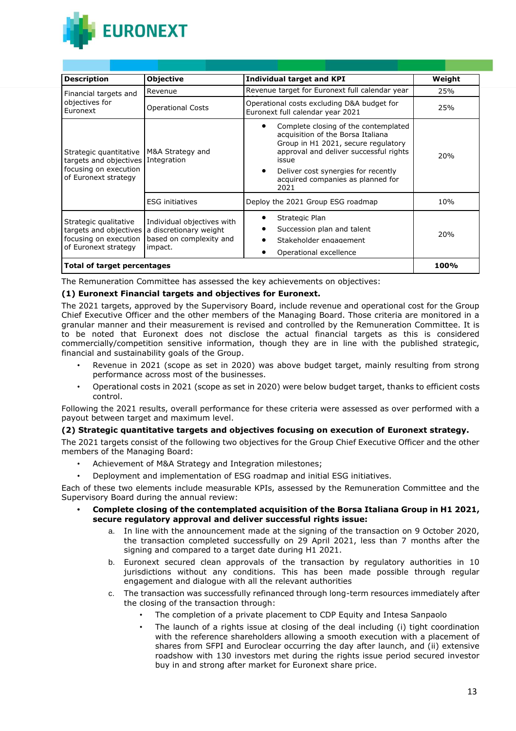

| <b>Description</b>                                                                                | Objective                                                                                  | <b>Individual target and KPI</b>                                                                                                                                                                                                                             | Weight |
|---------------------------------------------------------------------------------------------------|--------------------------------------------------------------------------------------------|--------------------------------------------------------------------------------------------------------------------------------------------------------------------------------------------------------------------------------------------------------------|--------|
| Financial targets and                                                                             | Revenue                                                                                    | Revenue target for Euronext full calendar year                                                                                                                                                                                                               | 25%    |
| objectives for<br>Euronext                                                                        | Operational Costs                                                                          | Operational costs excluding D&A budget for<br>Euronext full calendar year 2021                                                                                                                                                                               | 25%    |
| Strategic quantitative<br>targets and objectives<br>focusing on execution<br>of Euronext strategy | M&A Strategy and<br>Integration                                                            | Complete closing of the contemplated<br>acquisition of the Borsa Italiana<br>Group in H1 2021, secure regulatory<br>approval and deliver successful rights<br>issue<br>Deliver cost synergies for recently<br>٠<br>acquired companies as planned for<br>2021 | 20%    |
|                                                                                                   | <b>ESG initiatives</b>                                                                     | Deploy the 2021 Group ESG roadmap                                                                                                                                                                                                                            | 10%    |
| Strategic qualitative<br>targets and objectives<br>focusing on execution<br>of Euronext strategy  | Individual objectives with<br>a discretionary weight<br>based on complexity and<br>impact. | Strategic Plan<br>Succession plan and talent<br>Stakeholder engagement<br>Operational excellence                                                                                                                                                             | 20%    |
| Total of target percentages                                                                       | 100%                                                                                       |                                                                                                                                                                                                                                                              |        |

The Remuneration Committee has assessed the key achievements on objectives:

# **(1) Euronext Financial targets and objectives for Euronext.**

The 2021 targets, approved by the Supervisory Board, include revenue and operational cost for the Group Chief Executive Officer and the other members of the Managing Board. Those criteria are monitored in a granular manner and their measurement is revised and controlled by the Remuneration Committee. It is to be noted that Euronext does not disclose the actual financial targets as this is considered commercially/competition sensitive information, though they are in line with the published strategic, financial and sustainability goals of the Group.

- Revenue in 2021 (scope as set in 2020) was above budget target, mainly resulting from strong performance across most of the businesses.
- Operational costs in 2021 (scope as set in 2020) were below budget target, thanks to efficient costs control.

Following the 2021 results, overall performance for these criteria were assessed as over performed with a payout between target and maximum level.

# **(2) Strategic quantitative targets and objectives focusing on execution of Euronext strategy.**

The 2021 targets consist of the following two objectives for the Group Chief Executive Officer and the other members of the Managing Board:

- Achievement of M&A Strategy and Integration milestones;
- Deployment and implementation of ESG roadmap and initial ESG initiatives.

Each of these two elements include measurable KPIs, assessed by the Remuneration Committee and the Supervisory Board during the annual review:

- **• Complete closing of the contemplated acquisition of the Borsa Italiana Group in H1 2021, secure regulatory approval and deliver successful rights issue:**
	- a. In line with the announcement made at the signing of the transaction on 9 October 2020, the transaction completed successfully on 29 April 2021, less than 7 months after the signing and compared to a target date during H1 2021.
	- b. Euronext secured clean approvals of the transaction by regulatory authorities in 10 jurisdictions without any conditions. This has been made possible through regular engagement and dialogue with all the relevant authorities
	- c. The transaction was successfully refinanced through long-term resources immediately after the closing of the transaction through:
		- The completion of a private placement to CDP Equity and Intesa Sanpaolo
		- The launch of a rights issue at closing of the deal including (i) tight coordination with the reference shareholders allowing a smooth execution with a placement of shares from SFPI and Euroclear occurring the day after launch, and (ii) extensive roadshow with 130 investors met during the rights issue period secured investor buy in and strong after market for Euronext share price.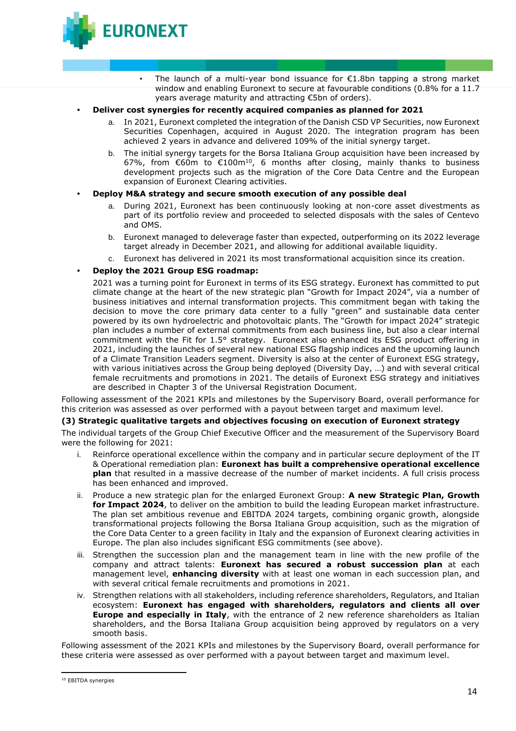

- The launch of a multi-year bond issuance for  $E1.8$ bn tapping a strong market window and enabling Euronext to secure at favourable conditions (0.8% for a 11.7 years average maturity and attracting €5bn of orders).
- **• Deliver cost synergies for recently acquired companies as planned for 2021**
	- a. In 2021, Euronext completed the integration of the Danish CSD VP Securities, now Euronext Securities Copenhagen, acquired in August 2020. The integration program has been achieved 2 years in advance and delivered 109% of the initial synergy target.
	- b. The initial synergy targets for the Borsa Italiana Group acquisition have been increased by 67%, from  $\widetilde{\epsilon}$ 60m to  $\widetilde{\epsilon}$ 100m<sup>10</sup>, 6 months after closing, mainly thanks to business development projects such as the migration of the Core Data Centre and the European expansion of Euronext Clearing activities.
- **• Deploy M&A strategy and secure smooth execution of any possible deal**
	- a. During 2021, Euronext has been continuously looking at non-core asset divestments as part of its portfolio review and proceeded to selected disposals with the sales of Centevo and OMS.
	- b. Euronext managed to deleverage faster than expected, outperforming on its 2022 leverage target already in December 2021, and allowing for additional available liquidity.
	- c. Euronext has delivered in 2021 its most transformational acquisition since its creation.
- **• Deploy the 2021 Group ESG roadmap:**

2021 was a turning point for Euronext in terms of its ESG strategy. Euronext has committed to put climate change at the heart of the new strategic plan "Growth for Impact 2024", via a number of business initiatives and internal transformation projects. This commitment began with taking the decision to move the core primary data center to a fully "green" and sustainable data center powered by its own hydroelectric and photovoltaic plants. The "Growth for impact 2024" strategic plan includes a number of external commitments from each business line, but also a clear internal commitment with the Fit for 1.5° strategy. Euronext also enhanced its ESG product offering in 2021, including the launches of several new national ESG flagship indices and the upcoming launch of a Climate Transition Leaders segment. Diversity is also at the center of Euronext ESG strategy, with various initiatives across the Group being deployed (Diversity Day, …) and with several critical female recruitments and promotions in 2021. The details of Euronext ESG strategy and initiatives are described in Chapter 3 of the Universal Registration Document.

Following assessment of the 2021 KPIs and milestones by the Supervisory Board, overall performance for this criterion was assessed as over performed with a payout between target and maximum level.

#### **(3) Strategic qualitative targets and objectives focusing on execution of Euronext strategy**

The individual targets of the Group Chief Executive Officer and the measurement of the Supervisory Board were the following for 2021:

- i. Reinforce operational excellence within the company and in particular secure deployment of the IT & Operational remediation plan: **Euronext has built a comprehensive operational excellence plan** that resulted in a massive decrease of the number of market incidents. A full crisis process has been enhanced and improved.
- ii. Produce a new strategic plan for the enlarged Euronext Group: **A new Strategic Plan, Growth for Impact 2024**, to deliver on the ambition to build the leading European market infrastructure. The plan set ambitious revenue and EBITDA 2024 targets, combining organic growth, alongside transformational projects following the Borsa Italiana Group acquisition, such as the migration of the Core Data Center to a green facility in Italy and the expansion of Euronext clearing activities in Europe. The plan also includes significant ESG commitments (see above).
- iii. Strengthen the succession plan and the management team in line with the new profile of the company and attract talents: **Euronext has secured a robust succession plan** at each management level, **enhancing diversity** with at least one woman in each succession plan, and with several critical female recruitments and promotions in 2021.
- iv. Strengthen relations with all stakeholders, including reference shareholders, Regulators, and Italian ecosystem: **Euronext has engaged with shareholders, regulators and clients all over Europe and especially in Italy**, with the entrance of 2 new reference shareholders as Italian shareholders, and the Borsa Italiana Group acquisition being approved by regulators on a very smooth basis.

Following assessment of the 2021 KPIs and milestones by the Supervisory Board, overall performance for these criteria were assessed as over performed with a payout between target and maximum level.

<sup>10</sup> EBITDA synergies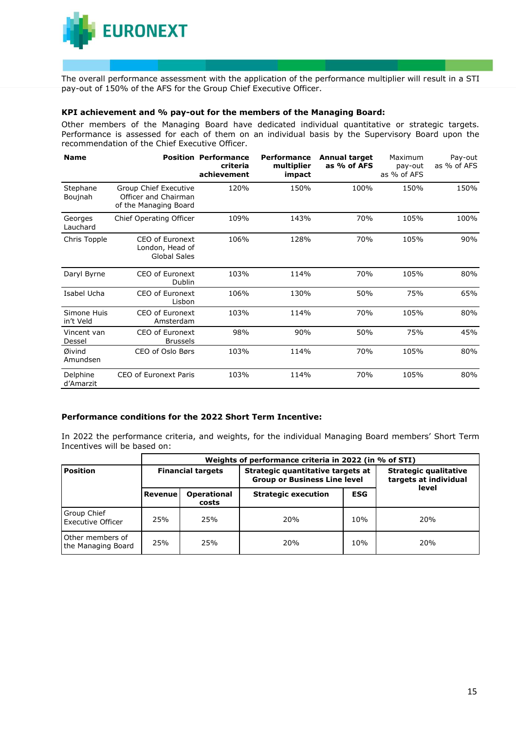

The overall performance assessment with the application of the performance multiplier will result in a STI pay-out of 150% of the AFS for the Group Chief Executive Officer.

#### **KPI achievement and % pay-out for the members of the Managing Board:**

Other members of the Managing Board have dedicated individual quantitative or strategic targets. Performance is assessed for each of them on an individual basis by the Supervisory Board upon the recommendation of the Chief Executive Officer.

| <b>Name</b>              |                                                                        | <b>Position Performance</b><br>criteria<br>achievement | <b>Performance</b><br>multiplier<br>impact | <b>Annual target</b><br>as % of AFS | Maximum<br>pay-out<br>as % of AFS | Pay-out<br>as % of AFS |
|--------------------------|------------------------------------------------------------------------|--------------------------------------------------------|--------------------------------------------|-------------------------------------|-----------------------------------|------------------------|
| Stephane<br>Boujnah      | Group Chief Executive<br>Officer and Chairman<br>of the Managing Board | 120%                                                   | 150%                                       | 100%                                | 150%                              | 150%                   |
| Georges<br>Lauchard      | Chief Operating Officer                                                | 109%                                                   | 143%                                       | 70%                                 | 105%                              | 100%                   |
| Chris Topple             | CEO of Euronext<br>London, Head of<br><b>Global Sales</b>              | 106%                                                   | 128%                                       | 70%                                 | 105%                              | 90%                    |
| Daryl Byrne              | CEO of Euronext<br>Dublin                                              | 103%                                                   | 114%                                       | 70%                                 | 105%                              | 80%                    |
| Isabel Ucha              | CEO of Euronext<br>Lisbon                                              | 106%                                                   | 130%                                       | 50%                                 | 75%                               | 65%                    |
| Simone Huis<br>in't Veld | CEO of Euronext<br>Amsterdam                                           | 103%                                                   | 114%                                       | 70%                                 | 105%                              | 80%                    |
| Vincent van<br>Dessel    | CEO of Euronext<br><b>Brussels</b>                                     | 98%                                                    | 90%                                        | 50%                                 | 75%                               | 45%                    |
| Øivind<br>Amundsen       | CEO of Oslo Børs                                                       | 103%                                                   | 114%                                       | 70%                                 | 105%                              | 80%                    |
| Delphine<br>d'Amarzit    | CEO of Euronext Paris                                                  | 103%                                                   | 114%                                       | 70%                                 | 105%                              | 80%                    |

#### **Performance conditions for the 2022 Short Term Incentive:**

In 2022 the performance criteria, and weights, for the individual Managing Board members' Short Term Incentives will be based on:

| Weights of performance criteria in 2022 (in % of STI) |                          |                             |                                                                          |            |                                                       |  |
|-------------------------------------------------------|--------------------------|-----------------------------|--------------------------------------------------------------------------|------------|-------------------------------------------------------|--|
| <b>Position</b>                                       | <b>Financial targets</b> |                             | Strategic quantitative targets at<br><b>Group or Business Line level</b> |            | <b>Strategic qualitative</b><br>targets at individual |  |
|                                                       | Revenue                  | <b>Operational</b><br>costs | <b>Strategic execution</b>                                               | <b>ESG</b> | level                                                 |  |
| <b>Group Chief</b><br><b>Executive Officer</b>        | 25%                      | 25%                         | 20%                                                                      | 10%        | 20%                                                   |  |
| Other members of<br>the Managing Board                | 25%                      | 25%                         | 20%                                                                      | 10%        | 20%                                                   |  |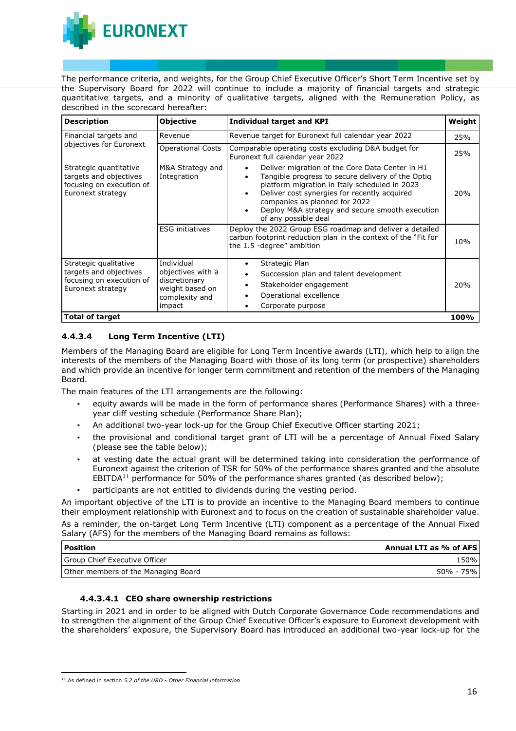

The performance criteria, and weights, for the Group Chief Executive Officer's Short Term Incentive set by the Supervisory Board for 2022 will continue to include a majority of financial targets and strategic quantitative targets, and a minority of qualitative targets, aligned with the Remuneration Policy, as described in the scorecard hereafter:

| <b>Description</b>                                                                                | <b>Objective</b>                                                                                | <b>Individual target and KPI</b>                                                                                                                                                                                                                                                                                  | Weight |
|---------------------------------------------------------------------------------------------------|-------------------------------------------------------------------------------------------------|-------------------------------------------------------------------------------------------------------------------------------------------------------------------------------------------------------------------------------------------------------------------------------------------------------------------|--------|
| Financial targets and                                                                             | Revenue                                                                                         | Revenue target for Euronext full calendar year 2022                                                                                                                                                                                                                                                               | 25%    |
| objectives for Euronext                                                                           | <b>Operational Costs</b>                                                                        | Comparable operating costs excluding D&A budget for<br>Euronext full calendar year 2022                                                                                                                                                                                                                           | 25%    |
| Strategic quantitative<br>targets and objectives<br>focusing on execution of<br>Euronext strategy | M&A Strategy and<br>Integration                                                                 | Deliver migration of the Core Data Center in H1<br>Tangible progress to secure delivery of the Optiq<br>platform migration in Italy scheduled in 2023<br>Deliver cost synergies for recently acquired<br>companies as planned for 2022<br>Deploy M&A strategy and secure smooth execution<br>of any possible deal | 20%    |
|                                                                                                   | <b>ESG</b> initiatives                                                                          | Deploy the 2022 Group ESG roadmap and deliver a detailed<br>carbon footprint reduction plan in the context of the "Fit for<br>the 1.5 -degree" ambition                                                                                                                                                           | 10%    |
| Strategic qualitative<br>targets and objectives<br>focusing on execution of<br>Euronext strategy  | Individual<br>objectives with a<br>discretionary<br>weight based on<br>complexity and<br>impact | Strategic Plan<br>٠<br>Succession plan and talent development<br>٠<br>Stakeholder engagement<br>Operational excellence<br>Corporate purpose                                                                                                                                                                       | 20%    |
| <b>Total of target</b>                                                                            |                                                                                                 |                                                                                                                                                                                                                                                                                                                   | 100%   |

# **4.4.3.4 Long Term Incentive (LTI)**

Members of the Managing Board are eligible for Long Term Incentive awards (LTI), which help to align the interests of the members of the Managing Board with those of its long term (or prospective) shareholders and which provide an incentive for longer term commitment and retention of the members of the Managing Board.

The main features of the LTI arrangements are the following:

- equity awards will be made in the form of performance shares (Performance Shares) with a threeyear cliff vesting schedule (Performance Share Plan);
- An additional two-year lock-up for the Group Chief Executive Officer starting 2021;
- the provisional and conditional target grant of LTI will be a percentage of Annual Fixed Salary (please see the table below);
- at vesting date the actual grant will be determined taking into consideration the performance of Euronext against the criterion of TSR for 50% of the performance shares granted and the absolute  $EBITDA<sup>11</sup>$  performance for 50% of the performance shares granted (as described below);
- participants are not entitled to dividends during the vesting period.

An important objective of the LTI is to provide an incentive to the Managing Board members to continue their employment relationship with Euronext and to focus on the creation of sustainable shareholder value. As a reminder, the on-target Long Term Incentive (LTI) component as a percentage of the Annual Fixed

Salary (AFS) for the members of the Managing Board remains as follows:

| <b>Position</b>                     | Annual LTI as % of AFS |
|-------------------------------------|------------------------|
| Group Chief Executive Officer       | 150% l                 |
| Other members of the Managing Board | 50% - 75% l            |

# **4.4.3.4.1 CEO share ownership restrictions**

Starting in 2021 and in order to be aligned with Dutch Corporate Governance Code recommendations and to strengthen the alignment of the Group Chief Executive Officer's exposure to Euronext development with the shareholders' exposure, the Supervisory Board has introduced an additional two-year lock-up for the

<sup>11</sup> As defined in section *5.2 of the URD - Other Financial information*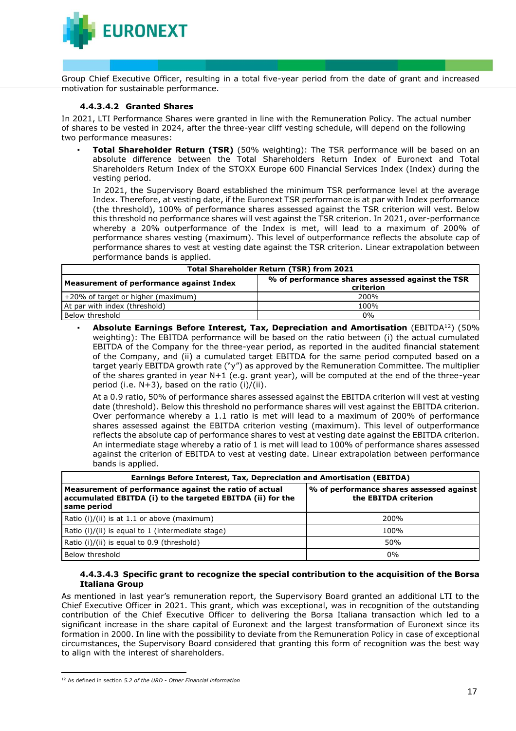

Group Chief Executive Officer, resulting in a total five-year period from the date of grant and increased motivation for sustainable performance.

#### **4.4.3.4.2 Granted Shares**

In 2021, LTI Performance Shares were granted in line with the Remuneration Policy. The actual number of shares to be vested in 2024, after the three-year cliff vesting schedule, will depend on the following two performance measures:

**Total Shareholder Return (TSR)** (50% weighting): The TSR performance will be based on an absolute difference between the Total Shareholders Return Index of Euronext and Total Shareholders Return Index of the STOXX Europe 600 Financial Services Index (Index) during the vesting period.

In 2021, the Supervisory Board established the minimum TSR performance level at the average Index. Therefore, at vesting date, if the Euronext TSR performance is at par with Index performance (the threshold), 100% of performance shares assessed against the TSR criterion will vest. Below this threshold no performance shares will vest against the TSR criterion. In 2021, over-performance whereby a 20% outperformance of the Index is met, will lead to a maximum of 200% of performance shares vesting (maximum). This level of outperformance reflects the absolute cap of performance shares to vest at vesting date against the TSR criterion. Linear extrapolation between performance bands is applied.

| <b>Total Shareholder Return (TSR) from 2021</b> |                                                               |  |  |
|-------------------------------------------------|---------------------------------------------------------------|--|--|
| Measurement of performance against Index        | % of performance shares assessed against the TSR<br>criterion |  |  |
| +20% of target or higher (maximum)              | 200%                                                          |  |  |
| At par with index (threshold)                   | 100%                                                          |  |  |
| Below threshold                                 | $0\%$                                                         |  |  |

▪ **Absolute Earnings Before Interest, Tax, Depreciation and Amortisation** (EBITDA<sup>12</sup>) (50% weighting): The EBITDA performance will be based on the ratio between (i) the actual cumulated EBITDA of the Company for the three-year period, as reported in the audited financial statement of the Company, and (ii) a cumulated target EBITDA for the same period computed based on a target yearly EBITDA growth rate ("y") as approved by the Remuneration Committee. The multiplier of the shares granted in year N+1 (e.g. grant year), will be computed at the end of the three-year period (i.e. N+3), based on the ratio (i)/(ii).

At a 0.9 ratio, 50% of performance shares assessed against the EBITDA criterion will vest at vesting date (threshold). Below this threshold no performance shares will vest against the EBITDA criterion. Over performance whereby a 1.1 ratio is met will lead to a maximum of 200% of performance shares assessed against the EBITDA criterion vesting (maximum). This level of outperformance reflects the absolute cap of performance shares to vest at vesting date against the EBITDA criterion. An intermediate stage whereby a ratio of 1 is met will lead to 100% of performance shares assessed against the criterion of EBITDA to vest at vesting date. Linear extrapolation between performance bands is applied.

| Earnings Before Interest, Tax, Depreciation and Amortisation (EBITDA)                                                               |                                                                  |  |  |  |
|-------------------------------------------------------------------------------------------------------------------------------------|------------------------------------------------------------------|--|--|--|
| Measurement of performance against the ratio of actual<br>accumulated EBITDA (i) to the targeted EBITDA (ii) for the<br>same period | % of performance shares assessed against<br>the EBITDA criterion |  |  |  |
| Ratio (i)/(ii) is at $1.1$ or above (maximum)                                                                                       | 200%                                                             |  |  |  |
| Ratio (i)/(ii) is equal to 1 (intermediate stage)                                                                                   | 100%                                                             |  |  |  |
| Ratio (i)/(ii) is equal to 0.9 (threshold)                                                                                          | 50%                                                              |  |  |  |
| Below threshold                                                                                                                     | $0\%$                                                            |  |  |  |

### **4.4.3.4.3 Specific grant to recognize the special contribution to the acquisition of the Borsa Italiana Group**

As mentioned in last year's remuneration report, the Supervisory Board granted an additional LTI to the Chief Executive Officer in 2021. This grant, which was exceptional, was in recognition of the outstanding contribution of the Chief Executive Officer to delivering the Borsa Italiana transaction which led to a significant increase in the share capital of Euronext and the largest transformation of Euronext since its formation in 2000. In line with the possibility to deviate from the Remuneration Policy in case of exceptional circumstances, the Supervisory Board considered that granting this form of recognition was the best way to align with the interest of shareholders.

<sup>12</sup> As defined in section *5.2 of the URD - Other Financial information*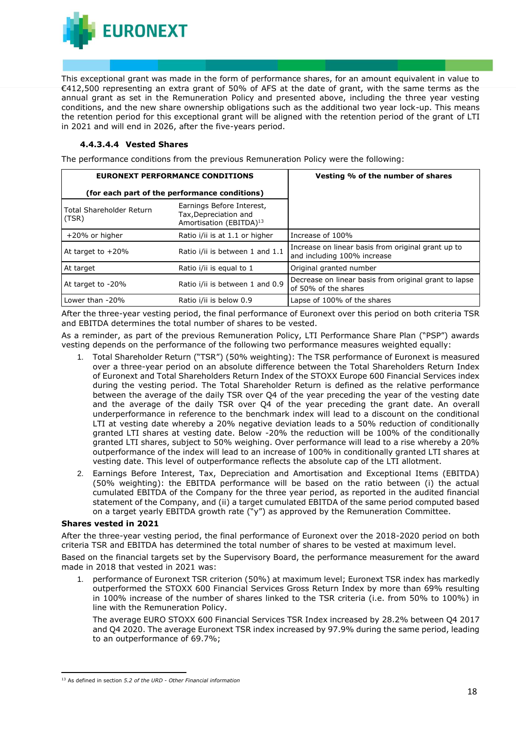

This exceptional grant was made in the form of performance shares, for an amount equivalent in value to €412,500 representing an extra grant of 50% of AFS at the date of grant, with the same terms as the annual grant as set in the Remuneration Policy and presented above, including the three year vesting conditions, and the new share ownership obligations such as the additional two year lock-up. This means the retention period for this exceptional grant will be aligned with the retention period of the grant of LTI in 2021 and will end in 2026, after the five-years period.

## **4.4.3.4.4 Vested Shares**

The performance conditions from the previous Remuneration Policy were the following:

|                                   | <b>EURONEXT PERFORMANCE CONDITIONS</b>                                                    | Vesting % of the number of shares                                                 |
|-----------------------------------|-------------------------------------------------------------------------------------------|-----------------------------------------------------------------------------------|
|                                   | (for each part of the performance conditions)                                             |                                                                                   |
| Total Shareholder Return<br>(TSR) | Earnings Before Interest,<br>Tax, Depreciation and<br>Amortisation (EBITDA) <sup>13</sup> |                                                                                   |
| +20% or higher                    | Ratio i/ii is at 1.1 or higher                                                            | Increase of 100%                                                                  |
| At target to $+20\%$              | Ratio i/ii is between 1 and 1.1                                                           | Increase on linear basis from original grant up to<br>and including 100% increase |
| At target                         | Ratio i/ii is equal to 1                                                                  | Original granted number                                                           |
| At target to -20%                 | Ratio i/ii is between 1 and 0.9                                                           | Decrease on linear basis from original grant to lapse<br>of 50% of the shares     |
| Lower than -20%                   | Ratio i/ii is below 0.9                                                                   | Lapse of 100% of the shares                                                       |

After the three-year vesting period, the final performance of Euronext over this period on both criteria TSR and EBITDA determines the total number of shares to be vested.

As a reminder, as part of the previous Remuneration Policy, LTI Performance Share Plan ("PSP") awards vesting depends on the performance of the following two performance measures weighted equally:

- 1. Total Shareholder Return ("TSR") (50% weighting): The TSR performance of Euronext is measured over a three-year period on an absolute difference between the Total Shareholders Return Index of Euronext and Total Shareholders Return Index of the STOXX Europe 600 Financial Services index during the vesting period. The Total Shareholder Return is defined as the relative performance between the average of the daily TSR over Q4 of the year preceding the year of the vesting date and the average of the daily TSR over Q4 of the year preceding the grant date. An overall underperformance in reference to the benchmark index will lead to a discount on the conditional LTI at vesting date whereby a 20% negative deviation leads to a 50% reduction of conditionally granted LTI shares at vesting date. Below -20% the reduction will be 100% of the conditionally granted LTI shares, subject to 50% weighing. Over performance will lead to a rise whereby a 20% outperformance of the index will lead to an increase of 100% in conditionally granted LTI shares at vesting date. This level of outperformance reflects the absolute cap of the LTI allotment.
- 2. Earnings Before Interest, Tax, Depreciation and Amortisation and Exceptional Items (EBITDA) (50% weighting): the EBITDA performance will be based on the ratio between (i) the actual cumulated EBITDA of the Company for the three year period, as reported in the audited financial statement of the Company, and (ii) a target cumulated EBITDA of the same period computed based on a target yearly EBITDA growth rate  $(\nabla y)$  as approved by the Remuneration Committee.

#### **Shares vested in 2021**

After the three-year vesting period, the final performance of Euronext over the 2018-2020 period on both criteria TSR and EBITDA has determined the total number of shares to be vested at maximum level.

Based on the financial targets set by the Supervisory Board, the performance measurement for the award made in 2018 that vested in 2021 was:

1. performance of Euronext TSR criterion (50%) at maximum level; Euronext TSR index has markedly outperformed the STOXX 600 Financial Services Gross Return Index by more than 69% resulting in 100% increase of the number of shares linked to the TSR criteria (i.e. from 50% to 100%) in line with the Remuneration Policy.

The average EURO STOXX 600 Financial Services TSR Index increased by 28.2% between Q4 2017 and Q4 2020. The average Euronext TSR index increased by 97.9% during the same period, leading to an outperformance of 69.7%;

<sup>13</sup> As defined in section *5.2 of the URD - Other Financial information*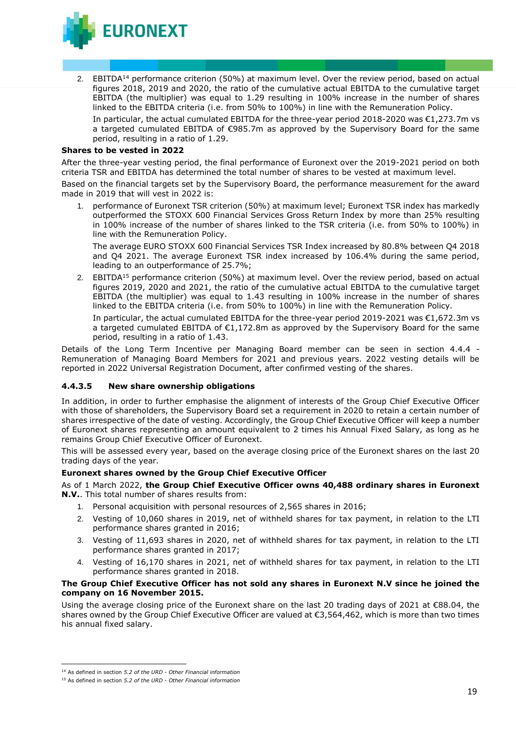

2. EBITDA<sup>14</sup> performance criterion (50%) at maximum level. Over the review period, based on actual figures 2018, 2019 and 2020, the ratio of the cumulative actual EBITDA to the cumulative target EBITDA (the multiplier) was equal to 1.29 resulting in 100% increase in the number of shares linked to the EBITDA criteria (i.e. from 50% to 100%) in line with the Remuneration Policy.

In particular, the actual cumulated EBITDA for the three-year period 2018-2020 was  $\epsilon$ 1,273.7m vs a targeted cumulated EBITDA of €985.7m as approved by the Supervisory Board for the same period, resulting in a ratio of 1.29.

#### **Shares to be vested in 2022**

After the three-year vesting period, the final performance of Euronext over the 2019-2021 period on both criteria TSR and EBITDA has determined the total number of shares to be vested at maximum level.

Based on the financial targets set by the Supervisory Board, the performance measurement for the award made in 2019 that will vest in 2022 is:

1. performance of Euronext TSR criterion (50%) at maximum level; Euronext TSR index has markedly outperformed the STOXX 600 Financial Services Gross Return Index by more than 25% resulting in 100% increase of the number of shares linked to the TSR criteria (i.e. from 50% to 100%) in line with the Remuneration Policy.

The average EURO STOXX 600 Financial Services TSR Index increased by 80.8% between Q4 2018 and Q4 2021. The average Euronext TSR index increased by 106.4% during the same period, leading to an outperformance of 25.7%;

2. EBITDA<sup>15</sup> performance criterion (50%) at maximum level. Over the review period, based on actual figures 2019, 2020 and 2021, the ratio of the cumulative actual EBITDA to the cumulative target EBITDA (the multiplier) was equal to 1.43 resulting in 100% increase in the number of shares linked to the EBITDA criteria (i.e. from 50% to 100%) in line with the Remuneration Policy.

In particular, the actual cumulated EBITDA for the three-year period 2019-2021 was €1,672.3m vs a targeted cumulated EBITDA of €1,172.8m as approved by the Supervisory Board for the same period, resulting in a ratio of 1.43.

Details of the Long Term Incentive per Managing Board member can be seen in section 4.4.4 - Remuneration of Managing Board Members for 2021 and previous years. 2022 vesting details will be reported in 2022 Universal Registration Document, after confirmed vesting of the shares.

#### **4.4.3.5 New share ownership obligations**

In addition, in order to further emphasise the alignment of interests of the Group Chief Executive Officer with those of shareholders, the Supervisory Board set a requirement in 2020 to retain a certain number of shares irrespective of the date of vesting. Accordingly, the Group Chief Executive Officer will keep a number of Euronext shares representing an amount equivalent to 2 times his Annual Fixed Salary, as long as he remains Group Chief Executive Officer of Euronext.

This will be assessed every year, based on the average closing price of the Euronext shares on the last 20 trading days of the year.

## **Euronext shares owned by the Group Chief Executive Officer**

As of 1 March 2022, **the Group Chief Executive Officer owns 40,488 ordinary shares in Euronext N.V.**. This total number of shares results from:

- 1. Personal acquisition with personal resources of 2,565 shares in 2016;
- 2. Vesting of 10,060 shares in 2019, net of withheld shares for tax payment, in relation to the LTI performance shares granted in 2016;
- 3. Vesting of 11,693 shares in 2020, net of withheld shares for tax payment, in relation to the LTI performance shares granted in 2017;
- 4. Vesting of 16,170 shares in 2021, net of withheld shares for tax payment, in relation to the LTI performance shares granted in 2018.

#### **The Group Chief Executive Officer has not sold any shares in Euronext N.V since he joined the company on 16 November 2015.**

Using the average closing price of the Euronext share on the last 20 trading days of 2021 at €88.04, the shares owned by the Group Chief Executive Officer are valued at €3,564,462, which is more than two times his annual fixed salary.

<sup>14</sup> As defined in section *5.2 of the URD - Other Financial information*

<sup>15</sup> As defined in section *5.2 of the URD - Other Financial information*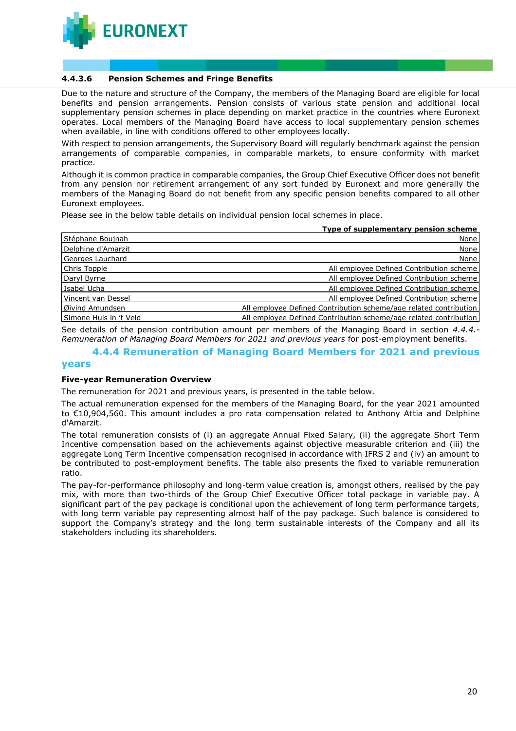

### **4.4.3.6 Pension Schemes and Fringe Benefits**

Due to the nature and structure of the Company, the members of the Managing Board are eligible for local benefits and pension arrangements. Pension consists of various state pension and additional local supplementary pension schemes in place depending on market practice in the countries where Euronext operates. Local members of the Managing Board have access to local supplementary pension schemes when available, in line with conditions offered to other employees locally.

With respect to pension arrangements, the Supervisory Board will regularly benchmark against the pension arrangements of comparable companies, in comparable markets, to ensure conformity with market practice.

Although it is common practice in comparable companies, the Group Chief Executive Officer does not benefit from any pension nor retirement arrangement of any sort funded by Euronext and more generally the members of the Managing Board do not benefit from any specific pension benefits compared to all other Euronext employees.

Please see in the below table details on individual pension local schemes in place.

|                        | Type of supplementary pension scheme                              |
|------------------------|-------------------------------------------------------------------|
| Stéphane Boujnah       | None                                                              |
| Delphine d'Amarzit     | None                                                              |
| Georges Lauchard       | None                                                              |
| Chris Topple           | All employee Defined Contribution scheme                          |
| Daryl Byrne            | All employee Defined Contribution scheme                          |
| Isabel Ucha            | All employee Defined Contribution scheme                          |
| Vincent van Dessel     | All employee Defined Contribution scheme                          |
| Øivind Amundsen        | All employee Defined Contribution scheme/age related contribution |
| Simone Huis in 't Veld | All employee Defined Contribution scheme/age related contribution |

See details of the pension contribution amount per members of the Managing Board in section *4.4.4.- Remuneration of Managing Board Members for 2021 and previous years* for post-employment benefits.

#### **4.4.4 Remuneration of Managing Board Members for 2021 and previous years**

#### **Five-year Remuneration Overview**

The remuneration for 2021 and previous years, is presented in the table below.

The actual remuneration expensed for the members of the Managing Board, for the year 2021 amounted to €10,904,560. This amount includes a pro rata compensation related to Anthony Attia and Delphine d'Amarzit.

The total remuneration consists of (i) an aggregate Annual Fixed Salary, (ii) the aggregate Short Term Incentive compensation based on the achievements against objective measurable criterion and (iii) the aggregate Long Term Incentive compensation recognised in accordance with IFRS 2 and (iv) an amount to be contributed to post-employment benefits. The table also presents the fixed to variable remuneration ratio.

The pay-for-performance philosophy and long-term value creation is, amongst others, realised by the pay mix, with more than two-thirds of the Group Chief Executive Officer total package in variable pay. A significant part of the pay package is conditional upon the achievement of long term performance targets, with long term variable pay representing almost half of the pay package. Such balance is considered to support the Company's strategy and the long term sustainable interests of the Company and all its stakeholders including its shareholders.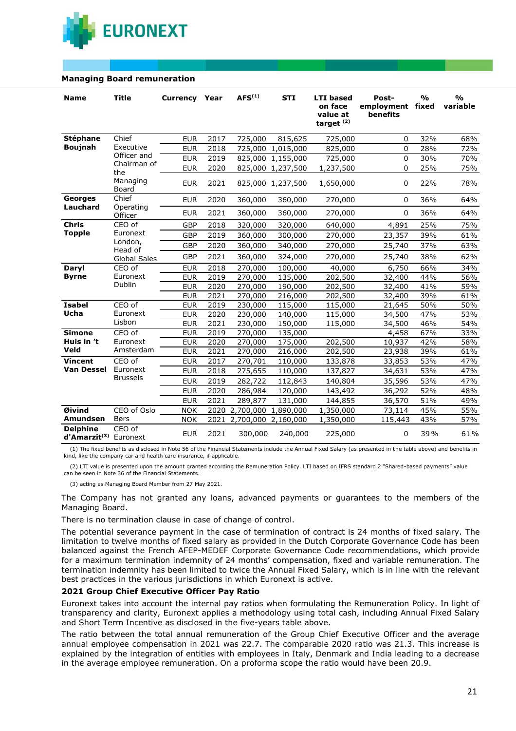

#### **Managing Board remuneration**

| <b>Name</b>                                          | <b>Title</b>         | <b>Currency Year</b> |      | AFS <sup>(1)</sup> | <b>STI</b>        | <b>LTI</b> based<br>on face<br>value at<br>target <sup>(2)</sup> | Post-<br>employment fixed<br>benefits | $\frac{0}{0}$ | $\frac{0}{0}$<br>variable |
|------------------------------------------------------|----------------------|----------------------|------|--------------------|-------------------|------------------------------------------------------------------|---------------------------------------|---------------|---------------------------|
| <b>Stéphane</b>                                      | Chief                | <b>EUR</b>           | 2017 | 725,000            | 815,625           | 725,000                                                          | 0                                     | 32%           | 68%                       |
| <b>Boujnah</b>                                       | Executive            | <b>EUR</b>           | 2018 | 725,000            | 1,015,000         | 825,000                                                          | 0                                     | 28%           | 72%                       |
|                                                      | Officer and          | <b>EUR</b>           | 2019 | 825,000            | 1,155,000         | 725,000                                                          | $\Omega$                              | 30%           | 70%                       |
|                                                      | Chairman of<br>the   | <b>EUR</b>           | 2020 | 825,000            | 1,237,500         | 1,237,500                                                        | $\Omega$                              | 25%           | 75%                       |
|                                                      | Managing<br>Board    | <b>EUR</b>           | 2021 |                    | 825,000 1,237,500 | 1,650,000                                                        | 0                                     | 22%           | 78%                       |
| Georges                                              | Chief                | <b>EUR</b>           | 2020 | 360,000            | 360,000           | 270,000                                                          | 0                                     | 36%           | 64%                       |
| Lauchard                                             | Operating<br>Officer | <b>EUR</b>           | 2021 | 360,000            | 360,000           | 270,000                                                          | 0                                     | 36%           | 64%                       |
| <b>Chris</b>                                         | CEO of               | GBP                  | 2018 | 320,000            | 320,000           | 640,000                                                          | 4,891                                 | 25%           | 75%                       |
| <b>Topple</b>                                        | Euronext             | <b>GBP</b>           | 2019 | 360,000            | 300,000           | 270,000                                                          | 23,357                                | 39%           | 61%                       |
|                                                      | London,<br>Head of   | GBP                  | 2020 | 360,000            | 340,000           | 270,000                                                          | 25,740                                | 37%           | 63%                       |
|                                                      | <b>Global Sales</b>  | GBP                  | 2021 | 360,000            | 324,000           | 270,000                                                          | 25,740                                | 38%           | 62%                       |
| Daryl                                                | CEO of               | <b>EUR</b>           | 2018 | 270,000            | 100,000           | 40,000                                                           | 6,750                                 | 66%           | 34%                       |
| <b>Byrne</b>                                         | Euronext             | <b>EUR</b>           | 2019 | 270,000            | 135,000           | 202,500                                                          | 32,400                                | 44%           | 56%                       |
|                                                      | Dublin               | <b>EUR</b>           | 2020 | 270,000            | 190,000           | 202,500                                                          | 32,400                                | 41%           | 59%                       |
|                                                      |                      | <b>EUR</b>           | 2021 | 270,000            | 216,000           | 202,500                                                          | 32,400                                | 39%           | 61%                       |
| <b>Isabel</b>                                        | CEO of               | <b>EUR</b>           | 2019 | 230,000            | 115,000           | 115,000                                                          | 21,645                                | 50%           | 50%                       |
| Ucha                                                 | Euronext             | <b>EUR</b>           | 2020 | 230,000            | 140,000           | 115,000                                                          | 34,500                                | 47%           | 53%                       |
|                                                      | Lisbon               | <b>EUR</b>           | 2021 | 230,000            | 150,000           | 115,000                                                          | 34,500                                | 46%           | 54%                       |
| <b>Simone</b>                                        | CEO of               | <b>EUR</b>           | 2019 | 270,000            | 135,000           |                                                                  | 4,458                                 | 67%           | 33%                       |
| Huis in 't                                           | Euronext             | <b>EUR</b>           | 2020 | 270,000            | 175,000           | 202,500                                                          | 10,937                                | 42%           | 58%                       |
| Veld                                                 | Amsterdam            | <b>EUR</b>           | 2021 | 270,000            | 216,000           | 202,500                                                          | 23,938                                | 39%           | 61%                       |
| <b>Vincent</b>                                       | CEO of               | <b>EUR</b>           | 2017 | 270,701            | 110,000           | 133,878                                                          | 33,853                                | 53%           | 47%                       |
| <b>Van Dessel</b>                                    | Euronext             | <b>EUR</b>           | 2018 | 275,655            | 110,000           | 137,827                                                          | 34,631                                | 53%           | 47%                       |
|                                                      | <b>Brussels</b>      | <b>EUR</b>           | 2019 | 282,722            | 112,843           | 140,804                                                          | 35,596                                | 53%           | 47%                       |
|                                                      |                      | <b>EUR</b>           | 2020 | 286,984            | 120,000           | 143,492                                                          | 36,292                                | 52%           | 48%                       |
|                                                      |                      | <b>EUR</b>           | 2021 | 289,877            | 131,000           | 144,855                                                          | 36,570                                | 51%           | 49%                       |
| Øivind                                               | CEO of Oslo          | <b>NOK</b>           | 2020 | 2,700,000          | 1,890,000         | 1,350,000                                                        | 73,114                                | 45%           | 55%                       |
| Amundsen                                             | <b>Børs</b>          | <b>NOK</b>           | 2021 | 2,700,000          | 2,160,000         | 1,350,000                                                        | 115,443                               | 43%           | 57%                       |
| <b>Delphine</b><br>d'Amarzit <sup>(3)</sup> Euronext | CEO of               | <b>EUR</b>           | 2021 | 300,000            | 240,000           | 225,000                                                          | 0                                     | 39%           | 61%                       |

(1) The fixed benefits as disclosed in Note 56 of the Financial Statements include the Annual Fixed Salary (as presented in the table above) and benefits in kind, like the company car and health care insurance, if applicable.

(2) LTI value is presented upon the amount granted according the Remuneration Policy. LTI based on IFRS standard 2 "Shared-based payments" value can be seen in Note 36 of the Financial Statements.

(3) acting as Managing Board Member from 27 May 2021.

The Company has not granted any loans, advanced payments or guarantees to the members of the Managing Board.

There is no termination clause in case of change of control.

The potential severance payment in the case of termination of contract is 24 months of fixed salary. The limitation to twelve months of fixed salary as provided in the Dutch Corporate Governance Code has been balanced against the French AFEP-MEDEF Corporate Governance Code recommendations, which provide for a maximum termination indemnity of 24 months' compensation, fixed and variable remuneration. The termination indemnity has been limited to twice the Annual Fixed Salary, which is in line with the relevant best practices in the various jurisdictions in which Euronext is active.

#### **2021 Group Chief Executive Officer Pay Ratio**

Euronext takes into account the internal pay ratios when formulating the Remuneration Policy. In light of transparency and clarity, Euronext applies a methodology using total cash, including Annual Fixed Salary and Short Term Incentive as disclosed in the five-years table above.

The ratio between the total annual remuneration of the Group Chief Executive Officer and the average annual employee compensation in 2021 was 22.7. The comparable 2020 ratio was 21.3. This increase is explained by the integration of entities with employees in Italy, Denmark and India leading to a decrease in the average employee remuneration. On a proforma scope the ratio would have been 20.9.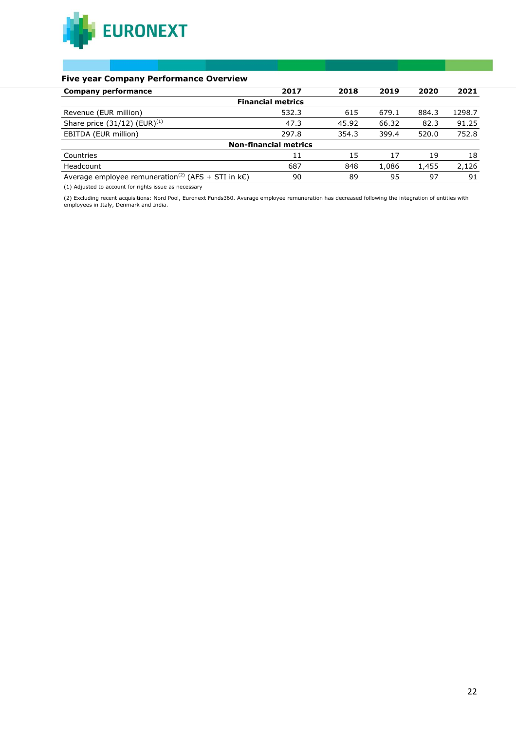

### **Five year Company Performance Overview**

| <b>Company performance</b>                                          | 2017                         | 2018  | 2019  | 2020  | 2021   |
|---------------------------------------------------------------------|------------------------------|-------|-------|-------|--------|
|                                                                     | <b>Financial metrics</b>     |       |       |       |        |
| Revenue (EUR million)                                               | 532.3                        | 615   | 679.1 | 884.3 | 1298.7 |
| Share price $(31/12)$ (EUR) <sup>(1)</sup>                          | 47.3                         | 45.92 | 66.32 | 82.3  | 91.25  |
| EBITDA (EUR million)                                                | 297.8                        | 354.3 | 399.4 | 520.0 | 752.8  |
|                                                                     | <b>Non-financial metrics</b> |       |       |       |        |
| Countries                                                           | 11                           | 15    | 17    | 19    | 18     |
| Headcount                                                           | 687                          | 848   | 1,086 | 1,455 | 2,126  |
| Average employee remuneration <sup>(2)</sup> (AFS + STI in $k\in$ ) | 90                           | 89    | 95    | 97    | 91     |

(1) Adjusted to account for rights issue as necessary

(2) Excluding recent acquisitions: Nord Pool, Euronext Funds360. Average employee remuneration has decreased following the integration of entities with employees in Italy, Denmark and India.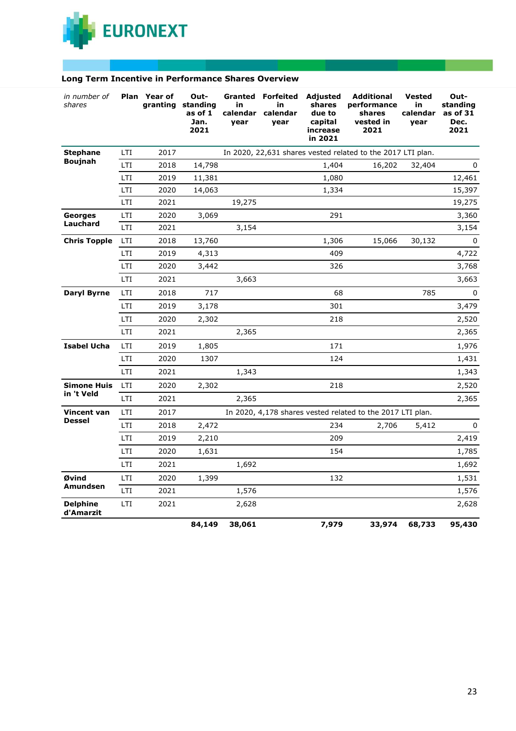

|  |  | Long Term Incentive in Performance Shares Overview |  |  |
|--|--|----------------------------------------------------|--|--|
|--|--|----------------------------------------------------|--|--|

| in number of<br>shares       |            | Plan Year of<br>granting | Out-<br>standing<br>as of 1<br>Jan.<br>2021 | in<br>calendar<br>year | <b>Granted Forfeited</b><br>in<br>calendar<br>year | <b>Adjusted</b><br>shares<br>due to<br>capital<br>increase<br>in 2021 | <b>Additional</b><br>performance<br>shares<br>vested in<br>2021 | <b>Vested</b><br>in<br>calendar<br>year | Out-<br>standing<br>as of 31<br>Dec.<br>2021 |
|------------------------------|------------|--------------------------|---------------------------------------------|------------------------|----------------------------------------------------|-----------------------------------------------------------------------|-----------------------------------------------------------------|-----------------------------------------|----------------------------------------------|
| <b>Stephane</b>              | LTI        | 2017                     |                                             |                        |                                                    |                                                                       | In 2020, 22,631 shares vested related to the 2017 LTI plan.     |                                         |                                              |
| <b>Boujnah</b>               | <b>LTI</b> | 2018                     | 14,798                                      |                        |                                                    | 1,404                                                                 | 16,202                                                          | 32,404                                  | 0                                            |
|                              | LTI        | 2019                     | 11,381                                      |                        |                                                    | 1,080                                                                 |                                                                 |                                         | 12,461                                       |
|                              | <b>LTI</b> | 2020                     | 14,063                                      |                        |                                                    | 1,334                                                                 |                                                                 |                                         | 15,397                                       |
|                              | <b>LTI</b> | 2021                     |                                             | 19,275                 |                                                    |                                                                       |                                                                 |                                         | 19,275                                       |
| Georges<br>Lauchard          | LTI        | 2020                     | 3,069                                       |                        |                                                    | 291                                                                   |                                                                 |                                         | 3,360                                        |
|                              | <b>LTI</b> | 2021                     |                                             | 3,154                  |                                                    |                                                                       |                                                                 |                                         | 3,154                                        |
| <b>Chris Topple</b>          | LTI        | 2018                     | 13,760                                      |                        |                                                    | 1,306                                                                 | 15,066                                                          | 30,132                                  | 0                                            |
|                              | <b>LTI</b> | 2019                     | 4,313                                       |                        |                                                    | 409                                                                   |                                                                 |                                         | 4,722                                        |
|                              | LTI        | 2020                     | 3,442                                       |                        |                                                    | 326                                                                   |                                                                 |                                         | 3,768                                        |
|                              | LTI        | 2021                     |                                             | 3,663                  |                                                    |                                                                       |                                                                 |                                         | 3,663                                        |
| <b>Daryl Byrne</b>           | <b>LTI</b> | 2018                     | 717                                         |                        |                                                    | 68                                                                    |                                                                 | 785                                     | 0                                            |
|                              | <b>LTI</b> | 2019                     | 3,178                                       |                        |                                                    | 301                                                                   |                                                                 |                                         | 3,479                                        |
|                              | <b>LTI</b> | 2020                     | 2,302                                       |                        |                                                    | 218                                                                   |                                                                 |                                         | 2,520                                        |
|                              | LTI        | 2021                     |                                             | 2,365                  |                                                    |                                                                       |                                                                 |                                         | 2,365                                        |
| <b>Isabel Ucha</b>           | <b>LTI</b> | 2019                     | 1,805                                       |                        |                                                    | 171                                                                   |                                                                 |                                         | 1,976                                        |
|                              | LTI        | 2020                     | 1307                                        |                        |                                                    | 124                                                                   |                                                                 |                                         | 1,431                                        |
|                              | LTI        | 2021                     |                                             | 1,343                  |                                                    |                                                                       |                                                                 |                                         | 1,343                                        |
| <b>Simone Huis</b>           | <b>LTI</b> | 2020                     | 2,302                                       |                        |                                                    | 218                                                                   |                                                                 |                                         | 2,520                                        |
| in 't Veld                   | LTI        | 2021                     |                                             | 2,365                  |                                                    |                                                                       |                                                                 |                                         | 2,365                                        |
| Vincent van                  | LTI        | 2017                     |                                             |                        |                                                    |                                                                       | In 2020, 4,178 shares vested related to the 2017 LTI plan.      |                                         |                                              |
| <b>Dessel</b>                | <b>LTI</b> | 2018                     | 2,472                                       |                        |                                                    | 234                                                                   | 2,706                                                           | 5,412                                   | 0                                            |
|                              | LTI        | 2019                     | 2,210                                       |                        |                                                    | 209                                                                   |                                                                 |                                         | 2,419                                        |
|                              | <b>LTI</b> | 2020                     | 1,631                                       |                        |                                                    | 154                                                                   |                                                                 |                                         | 1,785                                        |
|                              | LTI        | 2021                     |                                             | 1,692                  |                                                    |                                                                       |                                                                 |                                         | 1,692                                        |
| Øvind                        | LTI        | 2020                     | 1,399                                       |                        |                                                    | 132                                                                   |                                                                 |                                         | 1,531                                        |
| Amundsen                     | LTI        | 2021                     |                                             | 1,576                  |                                                    |                                                                       |                                                                 |                                         | 1,576                                        |
| <b>Delphine</b><br>d'Amarzit | LTI        | 2021                     |                                             | 2,628                  |                                                    |                                                                       |                                                                 |                                         | 2,628                                        |
|                              |            |                          | 84,149                                      | 38,061                 |                                                    | 7,979                                                                 | 33,974                                                          | 68,733                                  | 95,430                                       |

a sa sa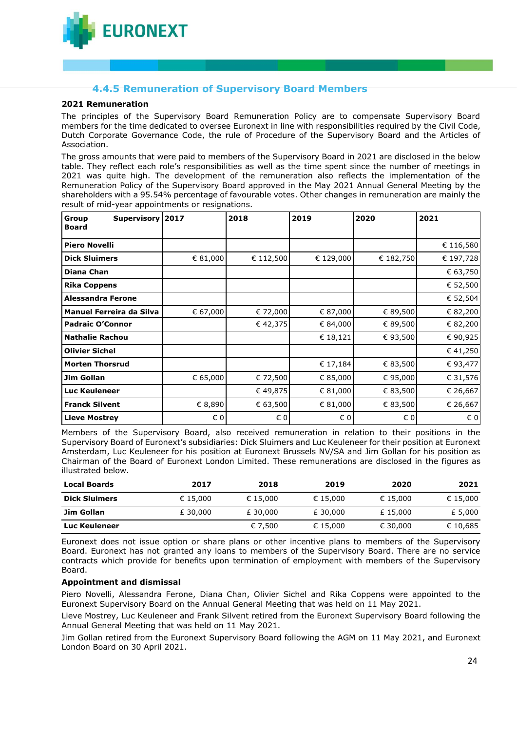

# **4.4.5 Remuneration of Supervisory Board Members**

#### **2021 Remuneration**

The principles of the Supervisory Board Remuneration Policy are to compensate Supervisory Board members for the time dedicated to oversee Euronext in line with responsibilities required by the Civil Code, Dutch Corporate Governance Code, the rule of Procedure of the Supervisory Board and the Articles of Association.

The gross amounts that were paid to members of the Supervisory Board in 2021 are disclosed in the below table. They reflect each role's responsibilities as well as the time spent since the number of meetings in 2021 was quite high. The development of the remuneration also reflects the implementation of the Remuneration Policy of the Supervisory Board approved in the May 2021 Annual General Meeting by the shareholders with a 95.54% percentage of favourable votes. Other changes in remuneration are mainly the result of mid-year appointments or resignations.

| Group<br><b>Board</b>           | Supervisory   2017 |          | 2018      | 2019         | 2020      | 2021      |
|---------------------------------|--------------------|----------|-----------|--------------|-----------|-----------|
| <b>Piero Novelli</b>            |                    |          |           |              |           | € 116,580 |
| <b>Dick Sluimers</b>            |                    | € 81,000 | € 112,500 | € 129,000    | € 182,750 | € 197,728 |
| <b>Diana Chan</b>               |                    |          |           |              |           | € 63,750  |
| <b>Rika Coppens</b>             |                    |          |           |              |           | € 52,500  |
| <b>Alessandra Ferone</b>        |                    |          |           |              |           | € 52,504  |
| <b>Manuel Ferreira da Silva</b> |                    | € 67,000 | € 72,000  | € 87,000     | € 89,500  | € 82,200  |
| <b>Padraic O'Connor</b>         |                    |          | €42,375   | € 84,000     | € 89,500  | € 82,200  |
| <b>Nathalie Rachou</b>          |                    |          |           | € 18,121     | € 93,500  | €90,925   |
| <b>Olivier Sichel</b>           |                    |          |           |              |           | €41,250   |
| <b>Morten Thorsrud</b>          |                    |          |           | € 17,184     | € 83,500  | € 93,477  |
| Jim Gollan                      |                    | € 65,000 | € 72,500  | € 85,000     | € 95,000  | € 31,576  |
| <b>Luc Keuleneer</b>            |                    |          | € 49,875  | € 81,000     | € 83,500  | € 26,667  |
| <b>Franck Silvent</b>           |                    | € 8,890  | € 63,500  | € 81,000     | € 83,500  | € 26,667  |
| <b>Lieve Mostrey</b>            |                    | € 0      | € 0       | $\epsilon$ 0 | € 0       | € 0       |

Members of the Supervisory Board, also received remuneration in relation to their positions in the Supervisory Board of Euronext's subsidiaries: Dick Sluimers and Luc Keuleneer for their position at Euronext Amsterdam, Luc Keuleneer for his position at Euronext Brussels NV/SA and Jim Gollan for his position as Chairman of the Board of Euronext London Limited. These remunerations are disclosed in the figures as illustrated below.

| <b>Local Boards</b>  | 2017     | 2018     | 2019     | 2020     | 2021     |
|----------------------|----------|----------|----------|----------|----------|
| <b>Dick Sluimers</b> | € 15,000 | € 15,000 | € 15,000 | € 15.000 | € 15,000 |
| Jim Gollan           | £ 30,000 | £ 30,000 | £ 30,000 | £15,000  | £ 5,000  |
| Luc Keuleneer        |          | € 7.500  | € 15,000 | € 30,000 | € 10,685 |

Euronext does not issue option or share plans or other incentive plans to members of the Supervisory Board. Euronext has not granted any loans to members of the Supervisory Board. There are no service contracts which provide for benefits upon termination of employment with members of the Supervisory Board.

#### **Appointment and dismissal**

Piero Novelli, Alessandra Ferone, Diana Chan, Olivier Sichel and Rika Coppens were appointed to the Euronext Supervisory Board on the Annual General Meeting that was held on 11 May 2021.

Lieve Mostrey, Luc Keuleneer and Frank Silvent retired from the Euronext Supervisory Board following the Annual General Meeting that was held on 11 May 2021.

Jim Gollan retired from the Euronext Supervisory Board following the AGM on 11 May 2021, and Euronext London Board on 30 April 2021.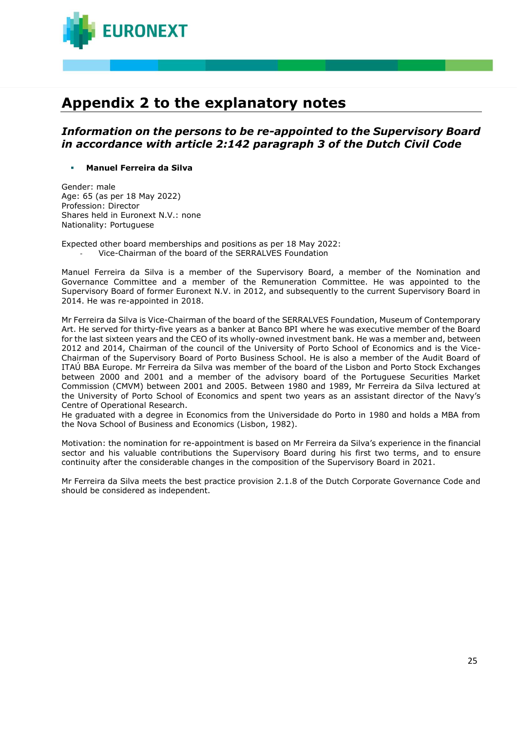

# **Appendix 2 to the explanatory notes**

# *Information on the persons to be re-appointed to the Supervisory Board in accordance with article 2:142 paragraph 3 of the Dutch Civil Code*

#### ▪ **Manuel Ferreira da Silva**

Gender: male Age: 65 (as per 18 May 2022) Profession: Director Shares held in Euronext N.V.: none Nationality: Portuguese

Expected other board memberships and positions as per 18 May 2022: - Vice-Chairman of the board of the SERRALVES Foundation

Manuel Ferreira da Silva is a member of the Supervisory Board, a member of the Nomination and Governance Committee and a member of the Remuneration Committee. He was appointed to the Supervisory Board of former Euronext N.V. in 2012, and subsequently to the current Supervisory Board in 2014. He was re-appointed in 2018.

Mr Ferreira da Silva is Vice-Chairman of the board of the SERRALVES Foundation, Museum of Contemporary Art. He served for thirty-five years as a banker at Banco BPI where he was executive member of the Board for the last sixteen years and the CEO of its wholly-owned investment bank. He was a member and, between 2012 and 2014, Chairman of the council of the University of Porto School of Economics and is the Vice-Chairman of the Supervisory Board of Porto Business School. He is also a member of the Audit Board of ITAÚ BBA Europe. Mr Ferreira da Silva was member of the board of the Lisbon and Porto Stock Exchanges between 2000 and 2001 and a member of the advisory board of the Portuguese Securities Market Commission (CMVM) between 2001 and 2005. Between 1980 and 1989, Mr Ferreira da Silva lectured at the University of Porto School of Economics and spent two years as an assistant director of the Navy's Centre of Operational Research.

He graduated with a degree in Economics from the Universidade do Porto in 1980 and holds a MBA from the Nova School of Business and Economics (Lisbon, 1982).

Motivation: the nomination for re-appointment is based on Mr Ferreira da Silva's experience in the financial sector and his valuable contributions the Supervisory Board during his first two terms, and to ensure continuity after the considerable changes in the composition of the Supervisory Board in 2021.

Mr Ferreira da Silva meets the best practice provision 2.1.8 of the Dutch Corporate Governance Code and should be considered as independent.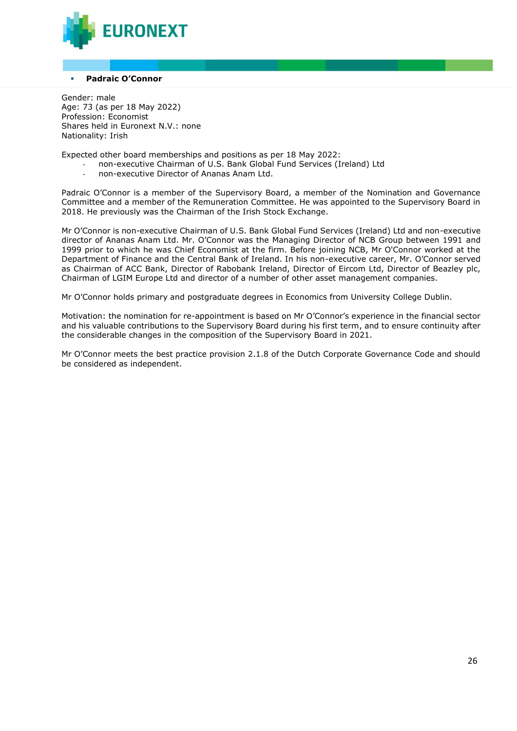

#### **Padraic O'Connor**

Gender: male Age: 73 (as per 18 May 2022) Profession: Economist Shares held in Euronext N.V.: none Nationality: Irish

Expected other board memberships and positions as per 18 May 2022:

- non-executive Chairman of U.S. Bank Global Fund Services (Ireland) Ltd
- non-executive Director of Ananas Anam Ltd.

Padraic O'Connor is a member of the Supervisory Board, a member of the Nomination and Governance Committee and a member of the Remuneration Committee. He was appointed to the Supervisory Board in 2018. He previously was the Chairman of the Irish Stock Exchange.

Mr O'Connor is non-executive Chairman of U.S. Bank Global Fund Services (Ireland) Ltd and non-executive director of Ananas Anam Ltd. Mr. O'Connor was the Managing Director of NCB Group between 1991 and 1999 prior to which he was Chief Economist at the firm. Before joining NCB, Mr O'Connor worked at the Department of Finance and the Central Bank of Ireland. In his non-executive career, Mr. O'Connor served as Chairman of ACC Bank, Director of Rabobank Ireland, Director of Eircom Ltd, Director of Beazley plc, Chairman of LGIM Europe Ltd and director of a number of other asset management companies.

Mr O'Connor holds primary and postgraduate degrees in Economics from University College Dublin.

Motivation: the nomination for re-appointment is based on Mr O'Connor's experience in the financial sector and his valuable contributions to the Supervisory Board during his first term, and to ensure continuity after the considerable changes in the composition of the Supervisory Board in 2021.

Mr O'Connor meets the best practice provision 2.1.8 of the Dutch Corporate Governance Code and should be considered as independent.